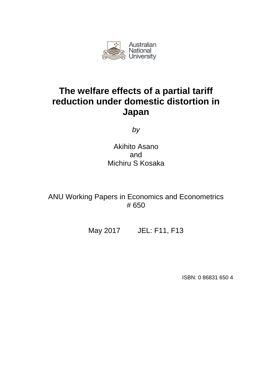

# **The welfare effects of a partial tariff reduction under domestic distortion in Japan**

*by*

Akihito Asano and Michiru S Kosaka

ANU Working Papers in Economics and Econometrics # 650

May 2017 JEL: F11, F13

ISBN: 0 86831 650 4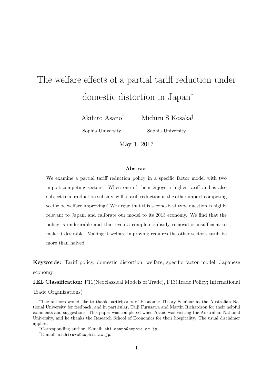# The welfare effects of a partial tariff reduction under domestic distortion in Japan*<sup>∗</sup>*

Akihito Asano*†*

Michiru S Kosaka*‡*

Sophia University

Sophia University

May 1, 2017

#### **Abstract**

We examine a partial tariff reduction policy in a specific factor model with two import-competing sectors. When one of them enjoys a higher tariff and is also subject to a production subsidy, will a tariff reduction in the other import-competing sector be welfare improving? We argue that this second-best type question is highly relevant to Japan, and calibrate our model to its 2013 economy. We find that the policy is undesirable and that even a complete subsidy removal is insufficient to make it desirable. Making it welfare improving requires the other sector's tariff be more than halved.

**Keywords:** Tariff policy, domestic distortion, welfare, specific factor model, Japanese economy

**JEL Classification:** F11(Neoclassical Models of Trade), F13(Trade Policy; International

Trade Organizations)

*<sup>∗</sup>*The authors would like to thank participants of Economic Theory Seminar at the Australian National University for feedback, and in particular, Taiji Furusawa and Martin Richardson for their helpful comments and suggestions. This paper was completed when Asano was visiting the Australian National University, and he thanks the Research School of Economics for their hospitality. The usual disclaimer applies.

*<sup>†</sup>*Corresponding author. E-mail: aki.asano@sophia.ac.jp.

*<sup>‡</sup>*E-mail: michiru-s@sophia.ac.jp.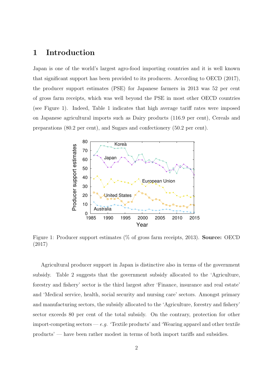## **1 Introduction**

Japan is one of the world's largest agro-food importing countries and it is well known that significant support has been provided to its producers. According to OECD (2017), the producer support estimates (PSE) for Japanese farmers in 2013 was 52 per cent of gross farm receipts, which was well beyond the PSE in most other OECD countries (see Figure 1). Indeed, Table 1 indicates that high average tariff rates were imposed on Japanese agricultural imports such as Dairy products (116.9 per cent), Cereals and preparations (80.2 per cent), and Sugars and confectionery (50.2 per cent).



Figure 1: Producer support estimates (% of gross farm receipts, 2013). **Source:** OECD (2017)

Agricultural producer support in Japan is distinctive also in terms of the government subsidy. Table 2 suggests that the government subsidy allocated to the 'Agriculture, forestry and fishery' sector is the third largest after 'Finance, insurance and real estate' and 'Medical service, health, social security and nursing care' sectors. Amongst primary and manufacturing sectors, the subsidy allocated to the 'Agriculture, forestry and fishery' sector exceeds 80 per cent of the total subsidy. On the contrary, protection for other import-competing sectors — *e.g.* 'Textile products' and 'Wearing apparel and other textile products' — have been rather modest in terms of both import tariffs and subsidies.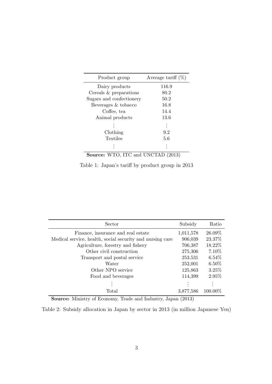| Product group            | Average tariff $(\%)$ |
|--------------------------|-----------------------|
| Dairy products           | 116.9                 |
| Cereals & preparations   | 80.2                  |
| Sugars and confectionery | 50.2                  |
| Beverages & tobacco      | 16.8                  |
| Coffee, tea              | 14.4                  |
| Animal products          | 13.6                  |
|                          |                       |
| Clothing                 | 9.2                   |
| Textiles                 | 5.6                   |
|                          |                       |

**Source:** WTO, ITC and UNCTAD (2013)

Table 1: Japan's tariff by product group in 2013

| <b>Sector</b>                                             | Subsidy   | Ratio    |
|-----------------------------------------------------------|-----------|----------|
| Finance, insurance and real estate                        | 1,011,578 | 26.09%   |
| Medical service, health, social security and nursing care | 906,039   | 23.37%   |
| Agriculture, forestry and fishery                         | 706,387   | 18.22%   |
| Other civil construction                                  | 275,306   | $7.10\%$ |
| Transport and postal service                              | 253,531   | $6.54\%$ |
| Water                                                     | 252,001   | $6.50\%$ |
| Other NPO service                                         | 125,863   | 3.25%    |
| Food and beverages                                        | 114,399   | $2.95\%$ |
|                                                           |           |          |
| Total                                                     | 3,877,586 | 100.00%  |

**Source:** Ministry of Economy, Trade and Industry, Japan (2013)

Table 2: Subsidy allocation in Japan by sector in 2013 (in million Japanese Yen)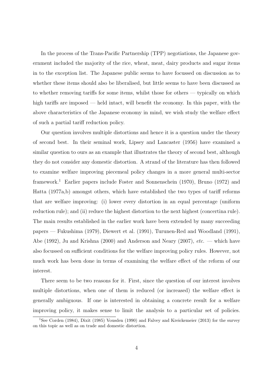In the process of the Trans-Pacific Partnership (TPP) negotiations, the Japanese government included the majority of the rice, wheat, meat, dairy products and sugar items in to the exception list. The Japanese public seems to have focussed on discussion as to whether these items should also be liberalised, but little seems to have been discussed as to whether removing tariffs for some items, whilst those for others — typically on which high tariffs are imposed — held intact, will benefit the economy. In this paper, with the above characteristics of the Japanese economy in mind, we wish study the welfare effect of such a partial tariff reduction policy.

Our question involves multiple distortions and hence it is a question under the theory of second best. In their seminal work, Lipsey and Lancaster (1956) have examined a similar question to ours as an example that illustrates the theory of second best, although they do not consider any domestic distortion. A strand of the literature has then followed to examine welfare improving piecemeal policy changes in a more general multi-sector framework.<sup>1</sup> Earlier papers include Foster and Sonnenschein (1970), Bruno (1972) and Hatta (1977a,b) amongst others, which have established the two types of tariff reforms that are welfare improving: (i) lower every distortion in an equal percentage (uniform reduction rule); and (ii) reduce the highest distortion to the next highest (concertina rule). The main results established in the earlier work have been extended by many succeeding papers — Fukushima (1979), Diewert et al. (1991), Turunen-Red and Woodland (1991), Abe (1992), Ju and Krishna (2000) and Anderson and Neary (2007), *etc.* — which have also focussed on sufficient conditions for the welfare improving policy rules. However, not much work has been done in terms of examining the welfare effect of the reform of our interest.

There seem to be two reasons for it. First, since the question of our interest involves multiple distortions, when one of them is reduced (or increased) the welfare effect is generally ambiguous. If one is interested in obtaining a concrete result for a welfare improving policy, it makes sense to limit the analysis to a particular set of policies.

<sup>&</sup>lt;sup>1</sup>See Corden (1984), Dixit (1985) Vousden (1990) and Falvey and Kreickemeier (2013) for the survey on this topic as well as on trade and domestic distortion.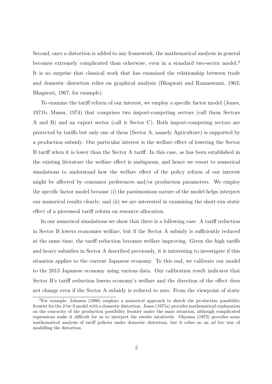Second, once a distortion is added to any framework, the mathematical analysis in general becomes extremely complicated than otherwise, even in a standard two-sector model.<sup>2</sup> It is no surprise that classical work that has examined the relationship between trade and domestic distortion relies on graphical analysis (Bhagwati and Ramaswami, 1963; Bhagwati, 1967, for example).

To examine the tariff reform of our interest, we employ a specific factor model (Jones, 1971b; Mussa, 1974) that comprises two import-competing sectors (call them Sectors A and B) and an export sector (call it Sector C). Both import-competing sectors are protected by tariffs but only one of them (Sector A, namely Agriculture) is supported by a production subsidy. Our particular interest is the welfare effect of lowering the Sector B tariff when it is lower than the Sector A tariff. In this case, as has been established in the existing literature the welfare effect is ambiguous, and hence we resort to numerical simulations to understand how the welfare effect of the policy reform of our interest might be affected by consumer preferences and/or production parameters. We employ the specific factor model because (i) the parsimonious nature of the model helps interpret our numerical results clearly; and (ii) we are interested in examining the short-run static effect of a piecemeal tariff reform on resource allocation.

In our numerical simulations we show that there is a following case. A tariff reduction in Sector B lowers economies welfare, but if the Sector A subsidy is sufficiently reduced at the same time, the tariff reduction becomes welfare improving. Given the high tariffs and heavy subsidies in Sector A described previously, it is interesting to investigate if this situation applies to the current Japanese economy. To this end, we calibrate our model to the 2013 Japanese economy using various data. Our calibration result indicates that Sector B's tariff reduction lowers economy's welfare and the direction of the effect does not change even if the Sector A subsidy is reduced to zero. From the viewpoint of static

 ${}^{2}$ For example, Johnson (1966) employs a numerical approach to sketch the production possibility frontier for the 2-by-2 model with a domestic distortion. Jones (1971a) provides mathematical explanation on the concavity of the production possibility frontier under the same situation, although complicated expressions make it difficult for us to interpret the results intuitively. Ohyama (1972) provides some mathematical analysis of tariff policies under domestic distortion, but it relies on an *ad hoc* way of modelling the distortion.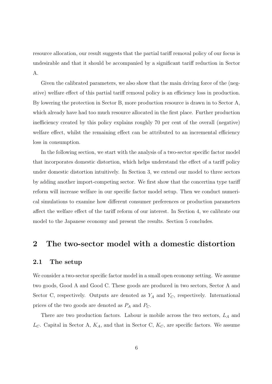resource allocation, our result suggests that the partial tariff removal policy of our focus is undesirable and that it should be accompanied by a significant tariff reduction in Sector A.

Given the calibrated parameters, we also show that the main driving force of the (negative) welfare effect of this partial tariff removal policy is an efficiency loss in production. By lowering the protection in Sector B, more production resource is drawn in to Sector A, which already have had too much resource allocated in the first place. Further production inefficiency created by this policy explains roughly 70 per cent of the overall (negative) welfare effect, whilst the remaining effect can be attributed to an incremental efficiency loss in consumption.

In the following section, we start with the analysis of a two-sector specific factor model that incorporates domestic distortion, which helps understand the effect of a tariff policy under domestic distortion intuitively. In Section 3, we extend our model to three sectors by adding another import-competing sector. We first show that the concertina type tariff reform will increase welfare in our specific factor model setup. Then we conduct numerical simulations to examine how different consumer preferences or production parameters affect the welfare effect of the tariff reform of our interest. In Section 4, we calibrate our model to the Japanese economy and present the results. Section 5 concludes.

## **2 The two-sector model with a domestic distortion**

#### **2.1 The setup**

We consider a two-sector specific factor model in a small open economy setting. We assume two goods, Good A and Good C. These goods are produced in two sectors, Sector A and Sector C, respectively. Outputs are denoted as  $Y_A$  and  $Y_C$ , respectively. International prices of the two goods are denoted as *P<sup>A</sup>* and *PC*.

There are two production factors. Labour is mobile across the two sectors, *L<sup>A</sup>* and *LC*. Capital in Sector A, *KA*, and that in Sector C, *KC*, are specific factors. We assume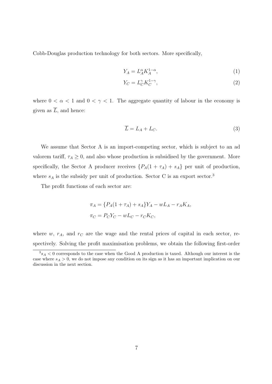Cobb-Douglas production technology for both sectors. More specifically,

$$
Y_A = L_A^{\alpha} K_A^{1-\alpha},\tag{1}
$$

$$
Y_C = L_C^{\gamma} K_C^{1-\gamma},\tag{2}
$$

where  $0 < \alpha < 1$  and  $0 < \gamma < 1$ . The aggregate quantity of labour in the economy is given as  $\overline{L}$ , and hence:

$$
\overline{L} = L_A + L_C. \tag{3}
$$

We assume that Sector A is an import-competing sector, which is subject to an ad valorem tariff,  $\tau_A \geq 0$ , and also whose production is subsidised by the government. More specifically, the Sector A producer receives  $\{P_A(1 + \tau_A) + s_A\}$  per unit of production, where  $s_A$  is the subsidy per unit of production. Sector C is an export sector.<sup>3</sup>

The profit functions of each sector are:

$$
\pi_A = \{ P_A(1 + \tau_A) + s_A \} Y_A - wL_A - r_A K_A,
$$
  

$$
\pi_C = P_C Y_C - wL_C - r_C K_C,
$$

where  $w$ ,  $r_A$ , and  $r_C$  are the wage and the rental prices of capital in each sector, respectively. Solving the profit maximisation problems, we obtain the following first-order

 $3s_A < 0$  corresponds to the case when the Good A production is taxed. Although our interest is the case where  $s_A > 0$ , we do not impose any condition on its sign as it has an important implication on our discussion in the next section.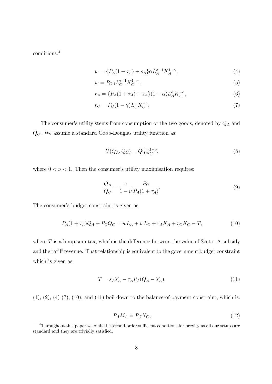conditions.<sup>4</sup>

$$
w = \{P_A(1 + \tau_A) + s_A\} \alpha L_A^{\alpha - 1} K_A^{1 - \alpha},\tag{4}
$$

$$
w = P_C \gamma L_C^{\gamma - 1} K_C^{1 - \gamma},\tag{5}
$$

$$
r_A = \{ P_A(1 + \tau_A) + s_A \} (1 - \alpha) L_A^{\alpha} K_A^{-\alpha}, \tag{6}
$$

$$
r_C = P_C(1 - \gamma)L_C^{\gamma} K_C^{-\gamma}.
$$
\n<sup>(7)</sup>

The consumer's utility stems from consumption of the two goods, denoted by  $\mathbb{Q}_A$  and  $\mathbb{Q}_C.$  We assume a standard Cobb-Douglas utility function as:

$$
U(Q_A, Q_C) = Q_A^{\nu} Q_C^{1-\nu},\tag{8}
$$

where  $0 < \nu < 1$ . Then the consumer's utility maximisation requires:

$$
\frac{Q_A}{Q_C} = \frac{\nu}{1 - \nu} \frac{P_C}{P_A (1 + \tau_A)}.\tag{9}
$$

The consumer's budget constraint is given as:

$$
P_A(1+\tau_A)Q_A + P_CQ_C = wL_A + wL_C + r_AK_A + r_CK_C - T,
$$
\n(10)

where  $T$  is a lump-sum tax, which is the difference between the value of Sector A subsidy and the tariff revenue. That relationship is equivalent to the government budget constraint which is given as:

$$
T = s_A Y_A - \tau_A P_A (Q_A - Y_A). \tag{11}
$$

 $(1), (2), (4)-(7), (10),$  and  $(11)$  boil down to the balance-of-payment constraint, which is:

$$
P_A M_A = P_C X_C,\tag{12}
$$

<sup>4</sup>Throughout this paper we omit the second-order sufficient conditions for brevity as all our setups are standard and they are trivially satisfied.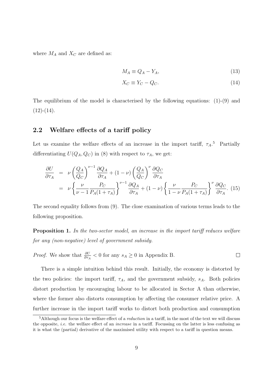where  $M_A$  and  $X_C$  are defined as:

$$
M_A \equiv Q_A - Y_A,\tag{13}
$$

$$
X_C \equiv Y_C - Q_C. \tag{14}
$$

The equilibrium of the model is characterised by the following equations: (1)-(9) and  $(12)-(14)$ .

#### **2.2 Welfare effects of a tariff policy**

Let us examine the welfare effects of an increase in the import tariff,  $\tau_A$ <sup>5</sup> Partially differentiating  $U(Q_A, Q_C)$  in (8) with respect to  $\tau_A$ , we get:

$$
\frac{\partial U}{\partial \tau_A} = \nu \left( \frac{Q_A}{Q_C} \right)^{\nu - 1} \frac{\partial Q_A}{\partial \tau_A} + (1 - \nu) \left( \frac{Q_A}{Q_C} \right)^{\nu} \frac{\partial Q_C}{\partial \tau_A}
$$
\n
$$
= \nu \left\{ \frac{\nu}{\nu - 1} \frac{P_C}{P_A (1 + \tau_A)} \right\}^{\nu - 1} \frac{\partial Q_A}{\partial \tau_A} + (1 - \nu) \left\{ \frac{\nu}{1 - \nu} \frac{P_C}{P_A (1 + \tau_A)} \right\}^{\nu} \frac{\partial Q_C}{\partial \tau_A}.
$$
\n(15)

The second equality follows from (9). The close examination of various terms leads to the following proposition.

**Proposition 1.** *In the two-sector model, an increase in the import tariff reduces welfare for any (non-negative) level of government subsidy.*

*Proof.* We show that 
$$
\frac{\partial U}{\partial \tau_A} < 0
$$
 for any  $s_A \ge 0$  in Appendix B.

There is a simple intuition behind this result. Initially, the economy is distorted by the two policies: the import tariff, *τA*, and the government subsidy, *sA*. Both policies distort production by encouraging labour to be allocated in Sector A than otherwise, where the former also distorts consumption by affecting the consumer relative price. A further increase in the import tariff works to distort both production and consumption

<sup>5</sup>Although our focus is the welfare effect of a *reduction* in a tariff, in the most of the text we will discuss the opposite, *i.e.* the welfare effect of an *increase* in a tariff. Focussing on the latter is less confusing as it is what the (partial) derivative of the maximised utility with respect to a tariff in question means.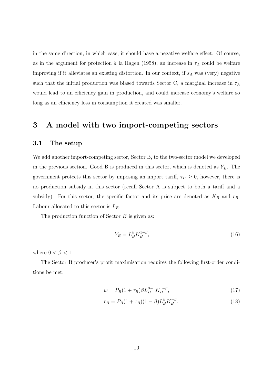in the same direction, in which case, it should have a negative welfare effect. Of course, as in the argument for protection  $\hat{a}$  la Hagen (1958), an increase in  $\tau_A$  could be welfare improving if it alleviates an existing distortion. In our context, if *s<sup>A</sup>* was (very) negative such that the initial production was biased towards Sector C, a marginal increase in  $\tau_A$ would lead to an efficiency gain in production, and could increase economy's welfare so long as an efficiency loss in consumption it created was smaller.

## **3 A model with two import-competing sectors**

### **3.1 The setup**

We add another import-competing sector, Sector B, to the two-sector model we developed in the previous section. Good B is produced in this sector, which is denoted as *YB*. The government protects this sector by imposing an import tariff,  $\tau_B \geq 0$ , however, there is no production subsidy in this sector (recall Sector A is subject to both a tariff and a subsidy). For this sector, the specific factor and its price are denoted as  $K_B$  and  $r_B$ . Labour allocated to this sector is *LB*.

The production function of Sector *B* is given as:

$$
Y_B = L_B^{\beta} K_B^{1-\beta},\tag{16}
$$

where  $0 < \beta < 1$ .

The Sector B producer's profit maximisation requires the following first-order conditions be met.

$$
w = P_B(1 + \tau_B)\beta L_B^{\beta - 1} K_B^{1 - \beta},\tag{17}
$$

$$
r_B = P_B (1 + \tau_B)(1 - \beta) L_B^{\beta} K_B^{-\beta}.
$$
 (18)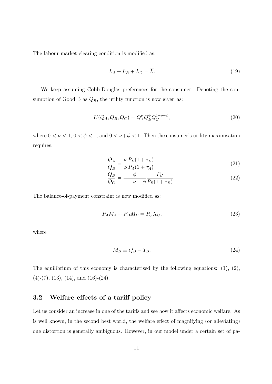The labour market clearing condition is modified as:

$$
L_A + L_B + L_C = \overline{L}.\tag{19}
$$

We keep assuming Cobb-Douglas preferences for the consumer. Denoting the consumption of Good B as  $Q_B$ , the utility function is now given as:

$$
U(Q_A, Q_B, Q_C) = Q_A^{\nu} Q_B^{\phi} Q_C^{1-\nu-\phi},\tag{20}
$$

where  $0 < \nu < 1$ ,  $0 < \phi < 1$ , and  $0 < \nu + \phi < 1$ . Then the consumer's utility maximisation requires:

$$
\frac{Q_A}{Q_B} = \frac{\nu}{\phi} \frac{P_B (1 + \tau_B)}{P_A (1 + \tau_A)},\tag{21}
$$

$$
\frac{Q_B}{Q_C} = \frac{\phi}{1 - \nu - \phi} \frac{P_C}{P_B(1 + \tau_B)}.
$$
\n(22)

The balance-of-payment constraint is now modified as:

$$
P_A M_A + P_B M_B = P_C X_C,\tag{23}
$$

where

$$
M_B \equiv Q_B - Y_B. \tag{24}
$$

The equilibrium of this economy is characterised by the following equations:  $(1)$ ,  $(2)$ ,  $(4)-(7)$ ,  $(13)$ ,  $(14)$ , and  $(16)-(24)$ .

## **3.2 Welfare effects of a tariff policy**

Let us consider an increase in one of the tariffs and see how it affects economic welfare. As is well known, in the second best world, the welfare effect of magnifying (or alleviating) one distortion is generally ambiguous. However, in our model under a certain set of pa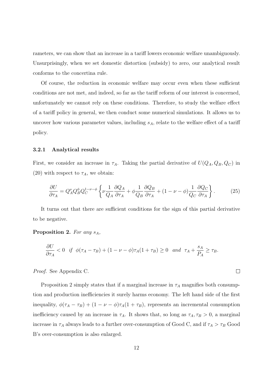rameters, we can show that an increase in a tariff lowers economic welfare unambiguously. Unsurprisingly, when we set domestic distortion (subsidy) to zero, our analytical result conforms to the concertina rule.

Of course, the reduction in economic welfare may occur even when these sufficient conditions are not met, and indeed, so far as the tariff reform of our interest is concerned, unfortunately we cannot rely on these conditions. Therefore, to study the welfare effect of a tariff policy in general, we then conduct some numerical simulations. It allows us to uncover how various parameter values, including *sA*, relate to the welfare effect of a tariff policy.

#### **3.2.1 Analytical results**

First, we consider an increase in  $\tau_A$ . Taking the partial derivative of  $U(Q_A, Q_B, Q_C)$  in (20) with respect to  $\tau_A$ , we obtain:

$$
\frac{\partial U}{\partial \tau_A} = Q_A^\nu Q_B^\phi Q_C^{1-\nu-\phi} \left\{ \nu \frac{1}{Q_A} \frac{\partial Q_A}{\partial \tau_A} + \phi \frac{1}{Q_B} \frac{\partial Q_B}{\partial \tau_A} + (1 - \nu - \phi) \frac{1}{Q_C} \frac{\partial Q_C}{\partial \tau_A} \right\}.
$$
(25)

It turns out that there are sufficient conditions for the sign of this partial derivative to be negative.

**Proposition 2.** *For any sA,*

$$
\frac{\partial U}{\partial \tau_A} < 0 \quad \text{if} \quad \phi(\tau_A - \tau_B) + (1 - \nu - \phi)\tau_A(1 + \tau_B) \ge 0 \quad \text{and} \quad \tau_A + \frac{s_A}{P_A} \ge \tau_B.
$$

*Proof.* See Appendix C.

Proposition 2 simply states that if a marginal increase in  $\tau_A$  magnifies both consumption and production inefficiencies it surely harms economy. The left hand side of the first inequality,  $\phi(\tau_A - \tau_B) + (1 - \nu - \phi)\tau_A(1 + \tau_B)$ , represents an incremental consumption inefficiency caused by an increase in  $\tau_A$ . It shows that, so long as  $\tau_A$ ,  $\tau_B > 0$ , a marginal increase in  $\tau_A$  always leads to a further over-consumption of Good C, and if  $\tau_A > \tau_B$  Good B's over-consumption is also enlarged.

 $\Box$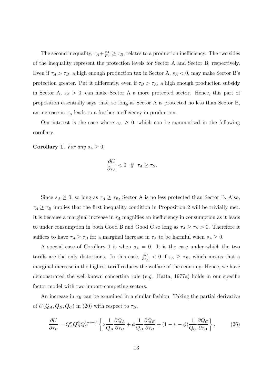The second inequality,  $\tau_A + \frac{s_A}{P_A}$  $\frac{s_A}{P_A} \geq \tau_B$ , relates to a production inefficiency. The two sides of the inequality represent the protection levels for Sector A and Sector B, respectively. Even if  $\tau_A > \tau_B$ , a high enough production tax in Sector A,  $s_A < 0$ , may make Sector B's protection greater. Put it differently, even if  $\tau_B > \tau_A$ , a high enough production subsidy in Sector A, *s<sup>A</sup> >* 0, can make Sector A a more protected sector. Hence, this part of proposition essentially says that, so long as Sector A is protected no less than Sector B, an increase in  $\tau_A$  leads to a further inefficiency in production.

Our interest is the case where  $s_A \geq 0$ , which can be summarised in the following corollary.

**Corollary 1.** *For any*  $s_A \geq 0$ *,* 

$$
\frac{\partial U}{\partial \tau_A} < 0 \quad \text{if} \quad \tau_A \ge \tau_B.
$$

Since  $s_A \geq 0$ , so long as  $\tau_A \geq \tau_B$ , Sector A is no less protected than Sector B. Also,  $\tau_A \geq \tau_B$  implies that the first inequality condition in Proposition 2 will be trivially met. It is because a marginal increase in  $\tau_A$  magnifies an inefficiency in consumption as it leads to under consumption in both Good B and Good C so long as  $\tau_A \geq \tau_B > 0$ . Therefore it suffices to have  $\tau_A \geq \tau_B$  for a marginal increase in  $\tau_A$  to be harmful when  $s_A \geq 0$ .

A special case of Corollary 1 is when  $s_A = 0$ . It is the case under which the two tariffs are the only distortions. In this case,  $\frac{\partial U}{\partial \tau_A} < 0$  if  $\tau_A \geq \tau_B$ , which means that a marginal increase in the highest tariff reduces the welfare of the economy. Hence, we have demonstrated the well-known concertina rule (*e.g.* Hatta, 1977a) holds in our specific factor model with two import-competing sectors.

An increase in  $\tau_B$  can be examined in a similar fashion. Taking the partial derivative of  $U(Q_A, Q_B, Q_C)$  in (20) with respect to  $\tau_B$ ,

$$
\frac{\partial U}{\partial \tau_B} = Q_A^{\nu} Q_B^{\phi} Q_C^{1-\nu-\phi} \left\{ \nu \frac{1}{Q_A} \frac{\partial Q_A}{\partial \tau_B} + \phi \frac{1}{Q_B} \frac{\partial Q_B}{\partial \tau_B} + (1 - \nu - \phi) \frac{1}{Q_C} \frac{\partial Q_C}{\partial \tau_B} \right\}.
$$
(26)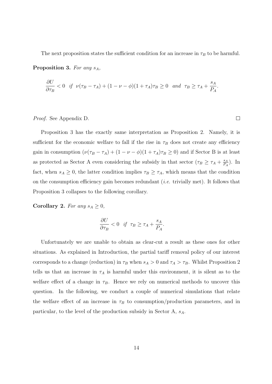The next proposition states the sufficient condition for an increase in  $\tau_B$  to be harmful.

**Proposition 3.** *For any sA,*

$$
\frac{\partial U}{\partial \tau_B} < 0 \quad \text{if} \quad \nu(\tau_B - \tau_A) + (1 - \nu - \phi)(1 + \tau_A)\tau_B \ge 0 \quad \text{and} \quad \tau_B \ge \tau_A + \frac{s_A}{P_A}.
$$

*Proof.* See Appendix D.

Proposition 3 has the exactly same interpretation as Proposition 2. Namely, it is sufficient for the economic welfare to fall if the rise in  $\tau_B$  does not create any efficiency gain in consumption  $(\nu(\tau_B - \tau_A) + (1 - \nu - \phi)(1 + \tau_A)\tau_B \ge 0)$  and if Sector B is at least as protected as Sector A even considering the subsidy in that sector  $(\tau_B \geq \tau_A + \frac{s_A}{R_A})$  $\frac{s_A}{P_A}$ ). In fact, when  $s_A \geq 0$ , the latter condition implies  $\tau_B \geq \tau_A$ , which means that the condition on the consumption efficiency gain becomes redundant (*i.e.* trivially met). It follows that Proposition 3 collapses to the following corollary.

 $\Box$ 

**Corollary 2.** *For any*  $s_A \geq 0$ *,* 

$$
\frac{\partial U}{\partial \tau_B} < 0 \quad \text{if} \quad \tau_B \ge \tau_A + \frac{s_A}{P_A}.
$$

Unfortunately we are unable to obtain as clear-cut a result as these ones for other situations. As explained in Introduction, the partial tariff removal policy of our interest corresponds to a change (reduction) in  $\tau_B$  when  $s_A > 0$  and  $\tau_A > \tau_B$ . Whilst Proposition 2 tells us that an increase in  $\tau_A$  is harmful under this environment, it is silent as to the welfare effect of a change in  $\tau_B$ . Hence we rely on numerical methods to uncover this question. In the following, we conduct a couple of numerical simulations that relate the welfare effect of an increase in  $\tau_B$  to consumption/production parameters, and in particular, to the level of the production subsidy in Sector A, *sA*.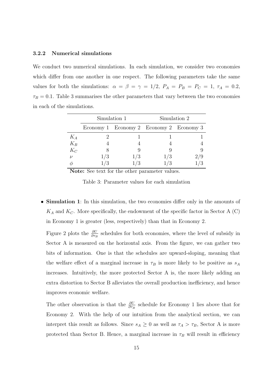#### **3.2.2 Numerical simulations**

We conduct two numerical simulations. In each simulation, we consider two economies which differ from one another in one respect. The following parameters take the same values for both the simulations:  $\alpha = \beta = \gamma = 1/2$ ,  $P_A = P_B = P_C = 1$ ,  $\tau_A = 0.2$ ,  $\tau_B = 0.1$ . Table 3 summarises the other parameters that vary between the two economies in each of the simulations.

|                  | Simulation 1 |                               | Simulation 2 |     |
|------------------|--------------|-------------------------------|--------------|-----|
|                  |              | Economy 1 Economy 2 Economy 3 |              |     |
| $K_A$            |              |                               |              |     |
| $K_B$            |              |                               |              |     |
| $K_C$            |              |                               |              |     |
| $\overline{\nu}$ | /3           | 1/3                           | $1/3\,$      | 279 |
|                  |              |                               |              |     |

**Note:** See text for the other parameter values.

Table 3: Parameter values for each simulation

*•* **Simulation 1**: In this simulation, the two economies differ only in the amounts of  $K_A$  and  $K_C$ . More specifically, the endowment of the specific factor in Sector A (C) in Economy 1 is greater (less, respectively) than that in Economy 2.

Figure 2 plots the  $\frac{\partial U}{\partial \tau_B}$  schedules for both economies, where the level of subsidy in Sector A is measured on the horizontal axis. From the figure, we can gather two bits of information. One is that the schedules are upward-sloping, meaning that the welfare effect of a marginal increase in  $\tau_B$  is more likely to be positive as  $s_A$ increases. Intuitively, the more protected Sector A is, the more likely adding an extra distortion to Sector B alleviates the overall production inefficiency, and hence improves economic welfare.

The other observation is that the  $\frac{\partial U}{\partial \tau_B}$  schedule for Economy 1 lies above that for Economy 2. With the help of our intuition from the analytical section, we can interpret this result as follows. Since  $s_A \geq 0$  as well as  $\tau_A > \tau_B$ , Sector A is more protected than Sector B. Hence, a marginal increase in  $\tau_B$  will result in efficiency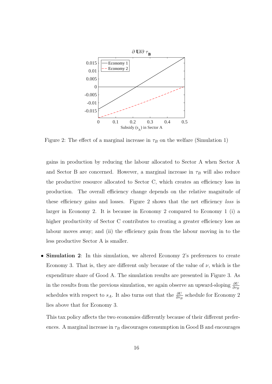

Figure 2: The effect of a marginal increase in  $\tau_B$  on the welfare (Simulation 1)

gains in production by reducing the labour allocated to Sector A when Sector A and Sector B are concerned. However, a marginal increase in  $\tau_B$  will also reduce the productive resource allocated to Sector C, which creates an efficiency loss in production. The overall efficiency change depends on the relative magnitude of these efficiency gains and losses. Figure 2 shows that the net efficiency *loss* is larger in Economy 2. It is because in Economy 2 compared to Economy 1 (i) a higher productivity of Sector C contributes to creating a greater efficiency loss as labour moves away; and (ii) the efficiency gain from the labour moving in to the less productive Sector A is smaller.

*•* **Simulation 2**: In this simulation, we altered Economy 2's preferences to create Economy 3. That is, they are different only because of the value of  $\nu$ , which is the expenditure share of Good A. The simulation results are presented in Figure 3. As in the results from the previous simulation, we again observe an upward-sloping  $\frac{\partial U}{\partial \tau_B}$ schedules with respect to  $s_A$ . It also turns out that the  $\frac{\partial U}{\partial \tau_B}$  schedule for Economy 2 lies above that for Economy 3.

This tax policy affects the two economies differently because of their different preferences. A marginal increase in  $\tau_B$  discourages consumption in Good B and encourages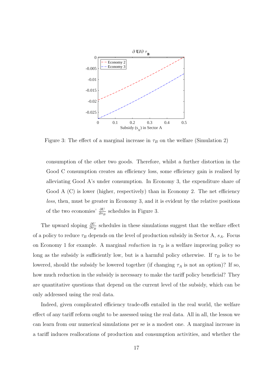

Figure 3: The effect of a marginal increase in  $\tau_B$  on the welfare (Simulation 2)

consumption of the other two goods. Therefore, whilst a further distortion in the Good C consumption creates an efficiency loss, some efficiency gain is realised by alleviating Good A's under consumption. In Economy 3, the expenditure share of Good A  $(C)$  is lower (higher, respectively) than in Economy 2. The net efficiency *loss*, then, must be greater in Economy 3, and it is evident by the relative positions of the two economies'  $\frac{\partial U}{\partial \tau_B}$  schedules in Figure 3.

The upward sloping  $\frac{\partial U}{\partial \tau_B}$  schedules in these simulations suggest that the welfare effect of a policy to reduce  $\tau_B$  depends on the level of production subsidy in Sector A,  $s_A$ . Focus on Economy 1 for example. A marginal *reduction* in  $\tau_B$  is a welfare improving policy so long as the subsidy is sufficiently low, but is a harmful policy otherwise. If  $\tau_B$  is to be lowered, should the subsidy be lowered together (if changing  $\tau_A$  is not an option)? If so, how much reduction in the subsidy is necessary to make the tariff policy beneficial? They are quantitative questions that depend on the current level of the subsidy, which can be only addressed using the real data.

Indeed, given complicated efficiency trade-offs entailed in the real world, the welfare effect of any tariff reform ought to be assessed using the real data. All in all, the lesson we can learn from our numerical simulations per se is a modest one. A marginal increase in a tariff induces reallocations of production and consumption activities, and whether the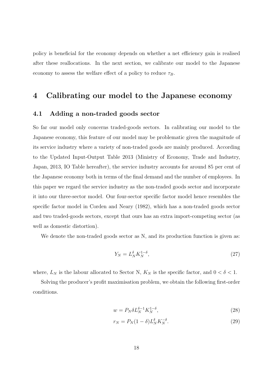policy is beneficial for the economy depends on whether a net efficiency gain is realised after these reallocations. In the next section, we calibrate our model to the Japanese economy to assess the welfare effect of a policy to reduce  $\tau_B$ .

## **4 Calibrating our model to the Japanese economy**

### **4.1 Adding a non-traded goods sector**

So far our model only concerns traded-goods sectors. In calibrating our model to the Japanese economy, this feature of our model may be problematic given the magnitude of its service industry where a variety of non-traded goods are mainly produced. According to the Updated Input-Output Table 2013 (Ministry of Economy, Trade and Industry, Japan, 2013, IO Table hereafter), the service industry accounts for around 85 per cent of the Japanese economy both in terms of the final demand and the number of employees. In this paper we regard the service industry as the non-traded goods sector and incorporate it into our three-sector model. Our four-sector specific factor model hence resembles the specific factor model in Corden and Neary (1982), which has a non-traded goods sector and two traded-goods sectors, except that ours has an extra import-competing sector (as well as domestic distortion).

We denote the non-traded goods sector as N, and its production function is given as:

$$
Y_N = L_N^{\delta} K_N^{1-\delta},\tag{27}
$$

where,  $L_N$  is the labour allocated to Sector N,  $K_N$  is the specific factor, and  $0 < \delta < 1$ .

Solving the producer's profit maximisation problem, we obtain the following first-order conditions.

$$
w = P_N \delta L_N^{\delta - 1} K_N^{1 - \delta},\tag{28}
$$

$$
r_N = P_N(1 - \delta)L_N^{\delta} K_N^{-\delta}.
$$
\n(29)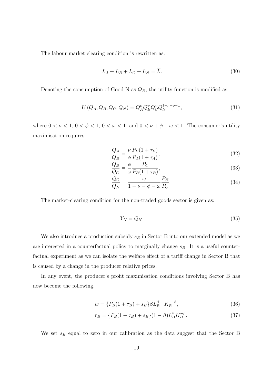The labour market clearing condition is rewritten as:

$$
L_A + L_B + L_C + L_N = \overline{L}.\tag{30}
$$

Denoting the consumption of Good N as  $Q_N$ , the utility function is modified as:

$$
U(Q_A, Q_B, Q_C, Q_N) = Q_A^{\nu} Q_B^{\phi} Q_C^{\omega} Q_N^{1-\nu-\phi-\omega},\tag{31}
$$

where  $0 < \nu < 1$ ,  $0 < \phi < 1$ ,  $0 < \omega < 1$ , and  $0 < \nu + \phi + \omega < 1$ . The consumer's utility maximisation requires:

$$
\frac{Q_A}{Q_B} = \frac{\nu}{\phi} \frac{P_B (1 + \tau_B)}{P_A (1 + \tau_A)},\tag{32}
$$

$$
\frac{Q_B}{Q_C} = \frac{\phi}{\omega} \frac{P_C}{P_B(1+\tau_B)},\tag{33}
$$

$$
\frac{Q_C}{Q_N} = \frac{\omega}{1 - \nu - \phi - \omega} \frac{P_N}{P_C}.\tag{34}
$$

The market-clearing condition for the non-traded goods sector is given as:

$$
Y_N = Q_N. \tag{35}
$$

We also introduce a production subsidy *s<sup>B</sup>* in Sector B into our extended model as we are interested in a counterfactual policy to marginally change *sB*. It is a useful counterfactual experiment as we can isolate the welfare effect of a tariff change in Sector B that is caused by a change in the producer relative prices.

In any event, the producer's profit maximisation conditions involving Sector B has now become the following.

$$
w = \{P_B(1+\tau_B) + s_B\}\beta L_B^{\beta - 1} K_B^{1-\beta},\tag{36}
$$

$$
r_B = \{P_B(1+\tau_B) + s_B\}(1-\beta)L_B^{\beta}K_B^{-\beta}.
$$
\n(37)

We set  $s_B$  equal to zero in our calibration as the data suggest that the Sector B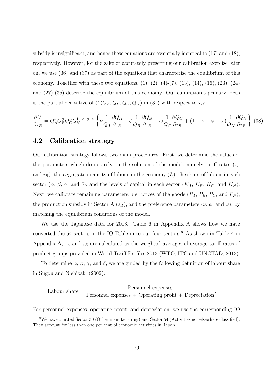subsidy is insignificant, and hence these equations are essentially identical to (17) and (18), respectively. However, for the sake of accurately presenting our calibration exercise later on, we use (36) and (37) as part of the equations that characterise the equilibrium of this economy. Together with these two equations,  $(1)$ ,  $(2)$ ,  $(4)-(7)$ ,  $(13)$ ,  $(14)$ ,  $(16)$ ,  $(23)$ ,  $(24)$ and (27)-(35) describe the equilibrium of this economy. Our calibration's primary focus is the partial derivative of  $U(Q_A, Q_B, Q_C, Q_N)$  in (31) with respect to  $\tau_B$ :

$$
\frac{\partial U}{\partial \tau_B} = Q_A^{\nu} Q_B^{\phi} Q_C^{\omega} Q_N^{1-\nu-\phi-\omega} \left\{ \nu \frac{1}{Q_A} \frac{\partial Q_A}{\partial \tau_B} + \phi \frac{1}{Q_B} \frac{\partial Q_B}{\partial \tau_B} + \omega \frac{1}{Q_C} \frac{\partial Q_C}{\partial \tau_B} + (1 - \nu - \phi - \omega) \frac{1}{Q_N} \frac{\partial Q_N}{\partial \tau_B} \right\} . (38)
$$

### **4.2 Calibration strategy**

Our calibration strategy follows two main procedures. First, we determine the values of the parameters which do not rely on the solution of the model, namely tariff rates ( $\tau_A$ and  $\tau_B$ ), the aggregate quantity of labour in the economy  $(L)$ , the share of labour in each sector  $(\alpha, \beta, \gamma, \text{ and } \delta)$ , and the levels of capital in each sector  $(K_A, K_B, K_C, \text{ and } K_N)$ . Next, we calibrate remaining parameters, *i.e.* prices of the goods  $(P_A, P_B, P_C, \text{ and } P_N)$ , the production subsidy in Sector A  $(s_A)$ , and the preference parameters  $(\nu, \phi, \text{ and } \omega)$ , by matching the equilibrium conditions of the model.

We use the Japanese data for 2013. Table 6 in Appendix A shows how we have converted the 54 sectors in the IO Table in to our four sectors.<sup>6</sup> As shown in Table 4 in Appendix A,  $\tau_A$  and  $\tau_B$  are calculated as the weighted averages of average tariff rates of product groups provided in World Tariff Profiles 2013 (WTO, ITC and UNCTAD, 2013).

To determine  $\alpha$ ,  $\beta$ ,  $\gamma$ , and  $\delta$ , we are guided by the following definition of labour share in Sugou and Nishizaki (2002):

Labour share  $=$   $\frac{\text{Personnel expenses}}{\text{P}}$ Personnel expenses + Operating profit + Depreciation*.*

For personnel expenses, operating profit, and depreciation, we use the corresponding IO

<sup>6</sup>We have omitted Sector 30 (Other manufacturing) and Sector 54 (Activities not elsewhere classified). They account for less than one per cent of economic activities in Japan.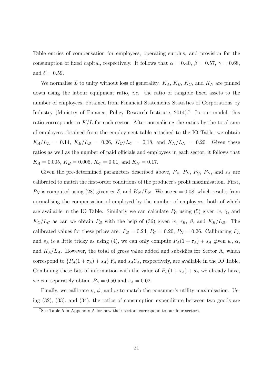Table entries of compensation for employees, operating surplus, and provision for the consumption of fixed capital, respectively. It follows that  $\alpha = 0.40, \beta = 0.57, \gamma = 0.68$ , and  $\delta = 0.59$ .

We normalise  $\overline{L}$  to unity without loss of generality.  $K_A$ ,  $K_B$ ,  $K_C$ , and  $K_N$  are pinned down using the labour equipment ratio, *i.e.* the ratio of tangible fixed assets to the number of employees, obtained from Financial Statements Statistics of Corporations by Industry (Ministry of Finance, Policy Research Institute, 2014).<sup>7</sup> In our model, this ratio corresponds to  $K/L$  for each sector. After normalising the ratios by the total sum of employees obtained from the employment table attached to the IO Table, we obtain  $K_A/L_A = 0.14, K_B/L_B = 0.26, K_C/L_C = 0.18, \text{ and } K_N/L_N = 0.20.$  Given these ratios as well as the number of paid officials and employees in each sector, it follows that  $K_A = 0.005$ ,  $K_B = 0.005$ ,  $K_C = 0.01$ , and  $K_N = 0.17$ .

Given the pre-determined parameters described above,  $P_A$ ,  $P_B$ ,  $P_C$ ,  $P_N$ , and  $s_A$  are calibrated to match the first-order conditions of the producer's profit maximisation. First, *P<sub>N</sub>* is computed using (28) given *w*,  $\delta$ , and  $K_N/L_N$ . We use  $w = 0.08$ , which results from normalising the compensation of employed by the number of employees, both of which are available in the IO Table. Similarly we can calculate  $P_C$  using (5) given  $w$ ,  $\gamma$ , and  $K_C/L_C$  as can we obtain  $P_B$  with the help of (36) given *w*,  $\tau_B$ ,  $\beta$ , and  $K_B/L_B$ . The calibrated values for these prices are:  $P_B = 0.24$ ,  $P_C = 0.20$ ,  $P_N = 0.26$ . Calibrating  $P_A$ and  $s_A$  is a little tricky as using (4), we can only compute  $P_A(1 + \tau_A) + s_A$  given *w*,  $\alpha$ , and  $K_A/L_A$ . However, the total of gross value added and subsidies for Sector A, which correspond to  $\{P_A(1 + \tau_A) + s_A\}Y_A$  and  $s_AY_A$ , respectively, are available in the IO Table. Combining these bits of information with the value of  $P_A(1 + \tau_A) + s_A$  we already have, we can separately obtain  $P_A = 0.50$  and  $s_A = 0.02$ .

Finally, we calibrate  $\nu$ ,  $\phi$ , and  $\omega$  to match the consumer's utility maximisation. Using (32), (33), and (34), the ratios of consumption expenditure between two goods are

<sup>7</sup>See Table 5 in Appendix A for how their sectors correspond to our four sectors.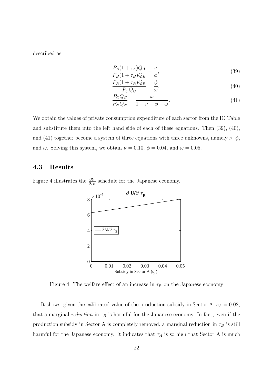described as:

$$
\frac{P_A(1+\tau_A)Q_A}{P_B(1+\tau_B)Q_B} = \frac{\nu}{\phi},\tag{39}
$$

$$
\frac{P_B(1+\tau_B)Q_B}{P_CQ_C} = \frac{\phi}{\omega},\tag{40}
$$

$$
\frac{P_C Q_C}{P_N Q_N} = \frac{\omega}{1 - \nu - \phi - \omega}.\tag{41}
$$

We obtain the values of private consumption expenditure of each sector from the IO Table and substitute them into the left hand side of each of these equations. Then (39), (40), and (41) together become a system of three equations with three unknowns, namely  $\nu$ ,  $\phi$ , and  $\omega$ . Solving this system, we obtain  $\nu = 0.10, \phi = 0.04, \text{ and } \omega = 0.05$ .

## **4.3 Results**

Figure 4 illustrates the  $\frac{\partial U}{\partial \tau_B}$  schedule for the Japanese economy.



Figure 4: The welfare effect of an increase in  $\tau_B$  on the Japanese economy

It shows, given the calibrated value of the production subsidy in Sector A,  $s_A = 0.02$ , that a marginal *reduction* in  $\tau_B$  is harmful for the Japanese economy. In fact, even if the production subsidy in Sector A is completely removed, a marginal reduction in  $\tau_B$  is still harmful for the Japanese economy. It indicates that  $\tau_A$  is so high that Sector A is much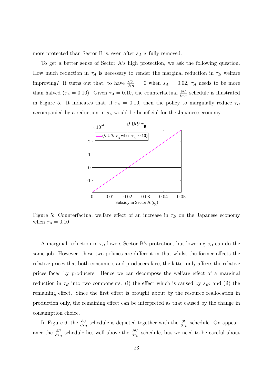more protected than Sector B is, even after *s<sup>A</sup>* is fully removed.

To get a better sense of Sector A's high protection, we ask the following question. How much reduction in  $\tau_A$  is necessary to render the marginal reduction in  $\tau_B$  welfare improving? It turns out that, to have  $\frac{\partial U}{\partial \tau_B} = 0$  when  $s_A = 0.02$ ,  $\tau_A$  needs to be more than halved ( $\tau_A = 0.10$ ). Given  $\tau_A = 0.10$ , the counterfactual  $\frac{\partial U}{\partial \tau_B}$  schedule is illustrated in Figure 5. It indicates that, if  $\tau_A = 0.10$ , then the policy to marginally reduce  $\tau_B$ accompanied by a reduction in *s<sup>A</sup>* would be beneficial for the Japanese economy.



Figure 5: Counterfactual welfare effect of an increase in  $\tau_B$  on the Japanese economy when  $\tau_A = 0.10$ 

A marginal reduction in  $\tau_B$  lowers Sector B's protection, but lowering  $s_B$  can do the same job. However, these two policies are different in that whilst the former affects the relative prices that both consumers and producers face, the latter only affects the relative prices faced by producers. Hence we can decompose the welfare effect of a marginal reduction in  $\tau_B$  into two components: (i) the effect which is caused by  $s_B$ ; and (ii) the remaining effect. Since the first effect is brought about by the resource reallocation in production only, the remaining effect can be interpreted as that caused by the change in consumption choice.

In Figure 6, the  $\frac{\partial U}{\partial s_B}$  schedule is depicted together with the  $\frac{\partial U}{\partial \tau_B}$  schedule. On appearance the  $\frac{\partial U}{\partial s_B}$  schedule lies well above the  $\frac{\partial U}{\partial \tau_B}$  schedule, but we need to be careful about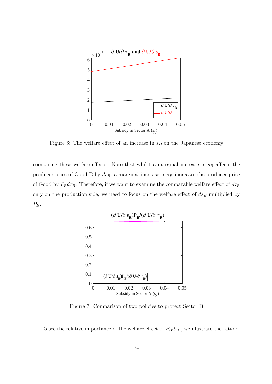

Figure 6: The welfare effect of an increase in  $s_B$  on the Japanese economy

comparing these welfare effects. Note that whilst a marginal increase in *s<sup>B</sup>* affects the producer price of Good B by  $ds_B$ , a marginal increase in  $\tau_B$  increases the producer price of Good by  $P_B d\tau_B$ . Therefore, if we want to examine the comparable welfare effect of  $d\tau_B$ only on the production side, we need to focus on the welfare effect of *ds<sup>B</sup>* multiplied by *PB*.



Figure 7: Comparison of two policies to protect Sector B

To see the relative importance of the welfare effect of  $P_B ds_B$ , we illustrate the ratio of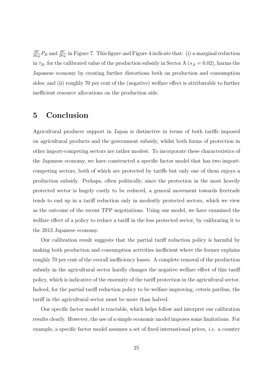*∂U*  $\frac{\partial U}{\partial s_B}P_B$  and  $\frac{\partial U}{\partial r_B}$  in Figure 7. This figure and Figure 4 indicate that: (i) a marginal reduction in  $\tau_B$ , for the calibrated value of the production subsidy in Sector A ( $s_A = 0.02$ ), harms the Japanese economy by creating further distortions both on production and consumption sides; and (ii) roughly 70 per cent of the (negative) welfare effect is attributable to further inefficient resource allocations on the production side.

## **5 Conclusion**

Agricultural producer support in Japan is distinctive in terms of both tariffs imposed on agricultural products and the government subsidy, whilst both forms of protection in other import-competing sectors are rather modest. To incorporate these characteristics of the Japanese economy, we have constructed a specific factor model that has two importcompeting sectors, both of which are protected by tariffs but only one of them enjoys a production subsidy. Perhaps, often politically, since the protection in the most heavily protected sector is hugely costly to be reduced, a general movement towards freetrade tends to end up in a tariff reduction only in modestly protected sectors, which we view as the outcome of the recent TPP negotiations. Using our model, we have examined the welfare effect of a policy to reduce a tariff in the less protected sector, by calibrating it to the 2013 Japanese economy.

Our calibration result suggests that the partial tariff reduction policy is harmful by making both production and consumption activities inefficient where the former explains roughly 70 per cent of the overall inefficiency losses. A complete removal of the production subsidy in the agricultural sector hardly changes the negative welfare effect of this tariff policy, which is indicative of the enormity of the tariff protection in the agricultural sector. Indeed, for the partial tariff reduction policy to be welfare improving, ceteris paribus, the tariff in the agricultural sector must be more than halved.

Our specific factor model is tractable, which helps follow and interpret our calibration results clearly. However, the use of a simple economic model imposes some limitations. For example, a specific factor model assumes a set of fixed international prices, *i.e.* a country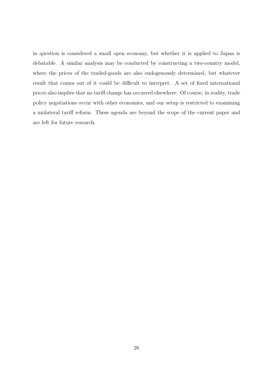in question is considered a small open economy, but whether it is applied to Japan is debatable. A similar analysis may be conducted by constructing a two-country model, where the prices of the traded-goods are also endogenously determined, but whatever result that comes out of it could be difficult to interpret. A set of fixed international prices also implies that no tariff change has occurred elsewhere. Of course, in reality, trade policy negotiations occur with other economies, and our setup is restricted to examining a unilateral tariff reform. These agenda are beyond the scope of the current paper and are left for future research.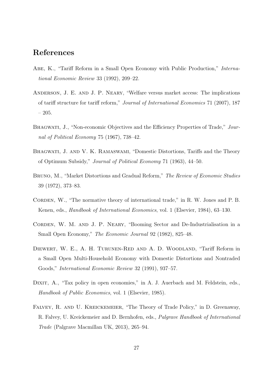## **References**

- Abe, K., "Tariff Reform in a Small Open Economy with Public Production," *International Economic Review* 33 (1992), 209–22.
- Anderson, J. E. and J. P. Neary, "Welfare versus market access: The implications of tariff structure for tariff reform," *Journal of International Economics* 71 (2007), 187 – 205.
- Bhagwati, J., "Non-economic Objectives and the Efficiency Properties of Trade," *Journal of Political Economy* 75 (1967), 738–42.
- Bhagwati, J. and V. K. Ramaswami, "Domestic Distortions, Tariffs and the Theory of Optimum Subsidy," *Journal of Political Economy* 71 (1963), 44–50.
- Bruno, M., "Market Distortions and Gradual Reform," *The Review of Economic Studies* 39 (1972), 373–83.
- CORDEN, W., "The normative theory of international trade," in R. W. Jones and P. B. Kenen, eds., *Handbook of International Economics*, vol. 1 (Elsevier, 1984), 63–130.
- CORDEN, W. M. AND J. P. NEARY, "Booming Sector and De-Industrialisation in a Small Open Economy," *The Economic Journal* 92 (1982), 825–48.
- Diewert, W. E., A. H. Turunen-Red and A. D. Woodland, "Tariff Reform in a Small Open Multi-Household Economy with Domestic Distortions and Nontraded Goods," *International Economic Review* 32 (1991), 937–57.
- DIXIT, A., "Tax policy in open economies," in A. J. Auerbach and M. Feldstein, eds., *Handbook of Public Economics*, vol. 1 (Elsevier, 1985).
- Falvey, R. and U. Kreickemeier, "The Theory of Trade Policy," in D. Greenaway, R. Falvey, U. Kreickemeier and D. Bernhofen, eds., *Palgrave Handbook of International Trade* (Palgrave Macmillan UK, 2013), 265–94.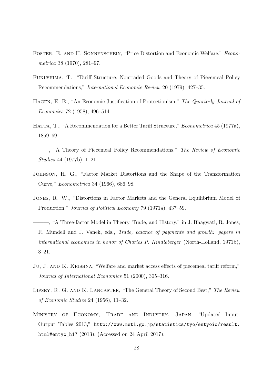- Foster, E. and H. Sonnenschein, "Price Distortion and Economic Welfare," *Econometrica* 38 (1970), 281–97.
- Fukushima, T., "Tariff Structure, Nontraded Goods and Theory of Piecemeal Policy Recommendations," *International Economic Review* 20 (1979), 427–35.
- Hagen, E. E., "An Economic Justification of Protectionism," *The Quarterly Journal of Economics* 72 (1958), 496–514.
- Hatta, T., "A Recommendation for a Better Tariff Structure," *Econometrica* 45 (1977a), 1859–69.
- ———, "A Theory of Piecemeal Policy Recommendations," *The Review of Economic Studies* 44 (1977b), 1–21.
- Johnson, H. G., "Factor Market Distortions and the Shape of the Transformation Curve," *Econometrica* 34 (1966), 686–98.
- Jones, R. W., "Distortions in Factor Markets and the General Equilibrium Model of Production," *Journal of Political Economy* 79 (1971a), 437–59.
- ———, "A Three-factor Model in Theory, Trade, and History," in J. Bhagwati, R. Jones, R. Mundell and J. Vanek, eds., *Trade, balance of payments and growth: papers in international economics in honor of Charles P. Kindleberger* (North-Holland, 1971b), 3–21.
- Ju, J. AND K. KRISHNA, "Welfare and market access effects of piecemeal tariff reform," *Journal of International Economics* 51 (2000), 305–316.
- Lipsey, R. G. and K. Lancaster, "The General Theory of Second Best," *The Review of Economic Studies* 24 (1956), 11–32.
- Ministry of Economy, Trade and Industry, Japan, "Updated Input-Output Tables 2013," http://www.meti.go.jp/statistics/tyo/entyoio/result. html#entyo\_h17 (2013), (Accessed on 24 April 2017).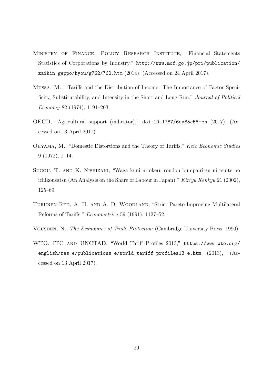- MINISTRY OF FINANCE, POLICY RESEARCH INSTITUTE, "Financial Statements Statistics of Corporations by Industry," http://www.mof.go.jp/pri/publication/ zaikin\_geppo/hyou/g762/762.htm (2014), (Accessed on 24 April 2017).
- Mussa, M., "Tariffs and the Distribution of Income: The Importance of Factor Specificity, Substitutability, and Intensity in the Short and Long Run," *Journal of Political Economy* 82 (1974), 1191–203.
- OECD, "Agricultural support (indicator)," doi:10.1787/6ea85c58-en (2017), (Accessed on 13 April 2017).
- Ohyama, M., "Domestic Distortions and the Theory of Tariffs," *Keio Economic Studies* 9 (1972), 1–14.
- Sugou, T. and K. Nishizaki, "Waga kuni ni okeru roudou bumpairitsu ni tsuite no ichikousatsu (An Analysis on the Share of Labour in Japan)," *Kin'yu Kenkyu* 21 (2002), 125–69.
- Turunen-Red, A. H. and A. D. Woodland, "Strict Pareto-Improving Multilateral Reforms of Tariffs," *Econometrica* 59 (1991), 1127–52.
- Vousden, N., *The Economics of Trade Protection* (Cambridge University Press, 1990).
- WTO, ITC and UNCTAD, "World Tariff Profiles 2013," https://www.wto.org/ english/res\_e/publications\_e/world\_tariff\_profiles13\_e.htm (2013), (Accessed on 13 April 2017).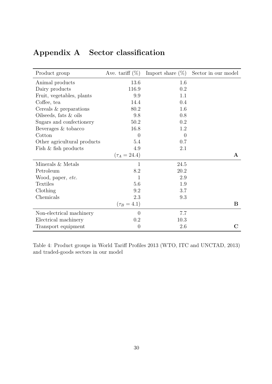| Product group               | Ave. tariff $(\%)$ | Import share $(\%)$ | Sector in our model |
|-----------------------------|--------------------|---------------------|---------------------|
| Animal products             | 13.6               | 1.6                 |                     |
| Dairy products              | 116.9              | 0.2                 |                     |
| Fruit, vegetables, plants   | 9.9                | 1.1                 |                     |
| Coffee, tea                 | 14.4               | 0.4                 |                     |
| Cereals $&$ preparations    | 80.2               | 1.6                 |                     |
| Oilseeds, fats $\&$ oils    | 9.8                | 0.8                 |                     |
| Sugars and confectionery    | 50.2               | 0.2                 |                     |
| Beverages & tobacco         | 16.8               | 1.2                 |                     |
| Cotton                      | $\overline{0}$     | $\theta$            |                     |
| Other agricultural products | 5.4                | 0.7                 |                     |
| Fish & fish products        | 4.9                | 2.1                 |                     |
|                             | $(\tau_A = 24.4)$  |                     | $\mathbf{A}$        |
| Minerals & Metals           | $\mathbf 1$        | 24.5                |                     |
| Petroleum                   | 8.2                | 20.2                |                     |
| Wood, paper, etc.           | $\mathbf{1}$       | 2.9                 |                     |
| <b>Textiles</b>             | 5.6                | 1.9                 |                     |
| Clothing                    | 9.2                | 3.7                 |                     |
| Chemicals                   | 2.3                | 9.3                 |                     |
|                             | $(\tau_B = 4.1)$   |                     | B                   |
| Non-electrical machinery    | $\theta$           | 7.7                 |                     |
| Electrical machinery        | 0.2                | 10.3                |                     |
| Transport equipment         | $\overline{0}$     | 2.6                 | C                   |

# **Appendix A Sector classification**

Table 4: Product groups in World Tariff Profiles 2013 (WTO, ITC and UNCTAD, 2013) and traded-goods sectors in our model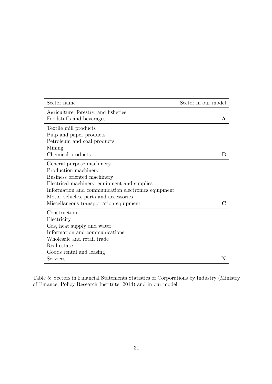| Sector name                                         | Sector in our model |
|-----------------------------------------------------|---------------------|
| Agriculture, forestry, and fisheries                |                     |
| Foodstuffs and beverages                            | А                   |
| Textile mill products                               |                     |
| Pulp and paper products                             |                     |
| Petroleum and coal products                         |                     |
| Mining                                              |                     |
| Chemical products                                   | B                   |
| General-purpose machinery                           |                     |
| Production machinery                                |                     |
| Business oriented machinery                         |                     |
| Electrical machinery, equipment and supplies        |                     |
| Information and communication electronics equipment |                     |
| Motor vehicles, parts and accessories               |                     |
| Miscellaneous transportation equipment              |                     |
| Construction                                        |                     |
| Electricity                                         |                     |
| Gas, heat supply and water                          |                     |
| Information and communications                      |                     |
| Wholesale and retail trade                          |                     |
| Real estate                                         |                     |
| Goods rental and leasing                            |                     |
| Services                                            | N                   |

Table 5: Sectors in Financial Statements Statistics of Corporations by Industry (Ministry of Finance, Policy Research Institute, 2014) and in our model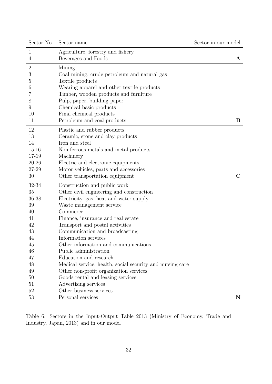| Sector No.     | Sector name                                               | Sector in our model |              |
|----------------|-----------------------------------------------------------|---------------------|--------------|
| 1              | Agriculture, forestry and fishery                         |                     |              |
| 4              | Beverages and Foods                                       |                     | $\mathbf{A}$ |
| $\overline{2}$ | Mining                                                    |                     |              |
| 3              | Coal mining, crude petroleum and natural gas              |                     |              |
| 5              | Textile products                                          |                     |              |
| 6              | Wearing apparel and other textile products                |                     |              |
| 7              | Timber, wooden products and furniture                     |                     |              |
| 8              | Pulp, paper, building paper                               |                     |              |
| 9              | Chemical basic products                                   |                     |              |
| 10             | Final chemical products                                   |                     |              |
| 11             | Petroleum and coal products                               |                     | B            |
| 12             | Plastic and rubber products                               |                     |              |
| 13             | Ceramic, stone and clay products                          |                     |              |
| 14             | Iron and steel                                            |                     |              |
| $15,\!16$      | Non-ferrous metals and metal products                     |                     |              |
| 17-19          | Machinery                                                 |                     |              |
| 20-26          | Electric and electronic equipments                        |                     |              |
| 27-29          | Motor vehicles, parts and accessories                     |                     |              |
| 30             | Other transportation equipment                            |                     | $\mathbf C$  |
| 32-34          | Construction and public work                              |                     |              |
| 35             | Other civil engineering and construction                  |                     |              |
| 36-38          | Electricity, gas, heat and water supply                   |                     |              |
| 39             | Waste management service                                  |                     |              |
| 40             | Commerce                                                  |                     |              |
| 41             | Finance, insurance and real estate                        |                     |              |
| 42             | Transport and postal activities                           |                     |              |
| 43             | Communication and broadcasting                            |                     |              |
| 44             | Information services                                      |                     |              |
| 45             | Other information and communications                      |                     |              |
| 46             | Public administration                                     |                     |              |
| 47             | Education and research                                    |                     |              |
| 48             | Medical service, health, social security and nursing care |                     |              |
| 49             | Other non-profit organization services                    |                     |              |
| 50             | Goods rental and leasing services                         |                     |              |
| 51             | Advertising services                                      |                     |              |
| 52             | Other business services                                   |                     |              |
| 53             | Personal services                                         |                     | N            |

Table 6: Sectors in the Input-Output Table 2013 (Ministry of Economy, Trade and Industry, Japan, 2013) and in our model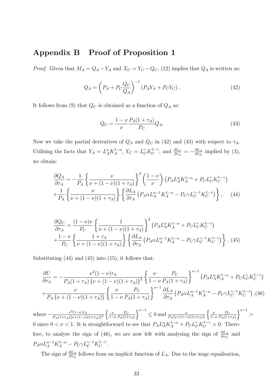## **Appendix B Proof of Proposition 1**

*Proof.* Given that  $M_A = Q_A - Y_A$  and  $X_C = Y_C - Q_C$ , (12) implies that  $Q_A$  is written as:

$$
Q_A = \left(P_A + P_C \frac{Q_C}{Q_A}\right)^{-1} (P_A Y_A + P_C Y_C).
$$
 (42)

It follows from (9) that  $Q_C$  is obtained as a function of  $Q_A$  as:

$$
Q_C = \frac{1 - \nu}{\nu} \frac{P_A (1 + \tau_A)}{P_C} Q_A.
$$
\n(43)

Now we take the partial derivatives of  $Q_A$  and  $Q_C$  in (42) and (43) with respect to  $\tau_A$ . Utilising the facts that  $Y_A = L_A^{\alpha} K_A^{1-\alpha}, Y_C = L_C^{\gamma} K_C^{1-\gamma}$  $\frac{\partial L_C}{\partial \tau_A} = -\frac{\partial L_A}{\partial \tau_A}$  $\frac{\partial L_A}{\partial \tau_A}$  implied by (3), we obtain:

$$
\frac{\partial Q_A}{\partial \tau_A} = -\frac{1}{P_A} \left\{ \frac{\nu}{\nu + (1 - \nu)(1 + \tau_A)} \right\}^2 \left( \frac{1 - \nu}{\nu} \right) \left( P_A L_A^{\alpha} K_A^{1 - \alpha} + P_C L_C^{\gamma} K_C^{1 - \gamma} \right) + \frac{1}{P_A} \left\{ \frac{\nu}{\nu + (1 - \nu)(1 + \tau_A)} \right\} \left\{ \frac{\partial L_A}{\partial \tau_A} \left( P_A \alpha L_A^{\alpha - 1} K_A^{1 - \alpha} - P_C \gamma L_C^{\gamma - 1} K_C^{1 - \gamma} \right) \right\}, \quad (44)
$$

$$
\frac{\partial Q_C}{\partial \tau_A} = \frac{(1 - \nu)\nu}{P_C} \left\{ \frac{1}{\nu + (1 - \nu)(1 + \tau_A)} \right\}^2 \left( P_A L_A^{\alpha} K_A^{1 - \alpha} + P_C L_C^{\gamma} K_C^{1 - \gamma} \right) \n+ \frac{1 - \nu}{P_C} \left\{ \frac{1 + \tau_A}{\nu + (1 - \nu)(1 + \tau_A)} \right\} \left\{ \frac{\partial L_A}{\partial \tau_A} \left( P_A \alpha L_A^{\alpha - 1} K_A^{1 - \alpha} - P_C \gamma L_C^{\gamma - 1} K_C^{1 - \gamma} \right) \right\}.
$$
\n(45)

Substituting (44) and (45) into (15), it follows that:

$$
\frac{\partial U}{\partial \tau_A} = -\frac{\nu^2 (1 - \nu) \tau_A}{P_A (1 + \tau_A) \{ \nu + (1 - \nu)(1 + \tau_A) \}^2} \left\{ \frac{\nu}{1 - \nu} \frac{P_C}{P_A (1 + \tau_A)} \right\}^{\nu - 1} (P_A L_A^{\alpha} K_A^{1 - \alpha} + P_C L_C^{\gamma} K_C^{1 - \gamma})
$$

$$
+ \frac{\nu}{P_A \{ \nu + (1 - \nu)(1 + \tau_A) \} } \left\{ \frac{\nu}{1 - \nu} \frac{P_C}{P_A (1 + \tau_A)} \right\}^{\nu - 1} \frac{\partial L_A}{\partial \tau_A} (P_A \alpha L_A^{\alpha - 1} K_A^{1 - \alpha} - P_C \gamma L_C^{\gamma - 1} K_C^{1 - \gamma}) , (46)
$$

where  $-\frac{\nu^2(1-\nu)\tau_A}{P_1(1+\tau_A)\int_{\mathcal{U}}(1-\nu)}$  $\frac{\nu^2(1-\nu)\tau_A}{P_A(1+\tau_A)\{\nu+(1-\nu)(1+\tau_A)\}^2}\left\{\frac{\nu}{1-\nu}\right\}$ 1*−ν P<sup>C</sup>*  $P_A(1+\tau_A)$  $\left\{\n\begin{array}{l}\n\frac{\nu}{\sqrt{1-\nu}} \leq 0 \text{ and } \frac{\nu}{P_A\{\nu+(1-\nu)(1+\tau_A)\}}\n\end{array}\n\right\}$ { *ν* 1*−ν P<sup>C</sup>*  $P_A(1+\tau_A)$ }*<sup>ν</sup>−*<sup>1</sup> *>* 0 since  $0 < \nu < 1$ . It is straightforward to see that  $P_A L_A^{\alpha} K_A^{1-\alpha} + P_C L_C^{\gamma} K_C^{1-\gamma} > 0$ . Therefore, to analyse the sign of (46), we are now left with analysing the sign of  $\frac{\partial L_A}{\partial \tau_A}$  and  $P_A \alpha L_A^{\alpha-1} K_A^{1-\alpha} - P_C \gamma L_C^{\gamma-1} K_C^{1-\gamma}$  $\overset{\cdot 1-\gamma }{C}$ .

The sign of  $\frac{\partial L_A}{\partial \tau_A}$  follows from an implicit function of  $L_A$ . Due to the wage equalisation,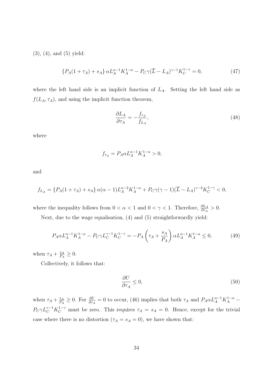(3), (4), and (5) yield:

$$
\{P_A(1+\tau_A) + s_A\} \alpha L_A^{\alpha-1} K_A^{1-\alpha} - P_C \gamma (\overline{L} - L_A)^{\gamma-1} K_C^{1-\gamma} = 0,\tag{47}
$$

where the left hand side is an implicit function of *LA*. Setting the left hand side as  $f(L_A, \tau_A)$ , and using the implicit function theorem,

$$
\frac{\partial L_A}{\partial \tau_A} = -\frac{f_{\tau_A}}{f_{L_A}},\tag{48}
$$

where

$$
f_{\tau_A} = P_A \alpha L_A^{\alpha - 1} K_A^{1 - \alpha} > 0,
$$

and

$$
f_{L_A} = \{ P_A(1+\tau_A) + s_A \} \alpha(\alpha-1) L_A^{\alpha-2} K_A^{1-\alpha} + P_C \gamma(\gamma-1) (\overline{L} - L_A)^{\gamma-2} K_C^{1-\gamma} < 0,
$$

where the inequality follows from  $0 < \alpha < 1$  and  $0 < \gamma < 1$ . Therefore,  $\frac{\partial L_A}{\partial \tau_A} > 0$ .

Next, due to the wage equalisation, (4) and (5) straightforwardly yield:

$$
P_A \alpha L_A^{\alpha - 1} K_A^{1 - \alpha} - P_C \gamma L_C^{\gamma - 1} K_C^{1 - \gamma} = -P_A \left( \tau_A + \frac{s_A}{P_A} \right) \alpha L_A^{\alpha - 1} K_A^{1 - \alpha} \le 0, \tag{49}
$$

when  $\tau_A + \frac{s_A}{P_A}$  $\frac{s_A}{P_A} \geq 0.$ 

Collectively, it follows that:

$$
\frac{\partial U}{\partial \tau_A} \le 0,\tag{50}
$$

when  $\tau_A + \frac{s_A}{P_A}$  $\frac{s_A}{P_A} \geq 0$ . For  $\frac{\partial U}{\partial \tau_A} = 0$  to occur, (46) implies that both  $\tau_A$  and  $P_A \alpha L_A^{\alpha-1} K_A^{1-\alpha}$  $P_C \gamma L_C^{\gamma-1} K_C^{1-\gamma}$  must be zero. This requires  $\tau_A = s_A = 0$ . Hence, except for the trivial case where there is no distortion  $(\tau_A = s_A = 0)$ , we have shown that: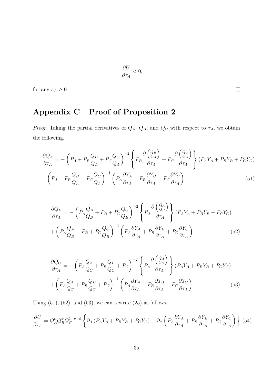$$
\frac{\partial U}{\partial \tau_A} < 0,
$$

for any  $s_A \geq 0$ .

# **Appendix C Proof of Proposition 2**

*Proof.* Taking the partial derivatives of  $Q_A$ ,  $Q_B$ , and  $Q_C$  with respect to  $\tau_A$ , we obtain the following.

$$
\frac{\partial Q_A}{\partial \tau_A} = -\left(P_A + P_B \frac{Q_B}{Q_A} + P_C \frac{Q_C}{Q_A}\right)^{-2} \left\{ P_B \frac{\partial \left(\frac{Q_B}{Q_A}\right)}{\partial \tau_A} + P_C \frac{\partial \left(\frac{Q_C}{Q_A}\right)}{\partial \tau_A} \right\} (P_A Y_A + P_B Y_B + P_C Y_C)
$$
\n
$$
+ \left(P_A + P_B \frac{Q_B}{Q_A} + P_C \frac{Q_C}{Q_A}\right)^{-1} \left(P_A \frac{\partial Y_A}{\partial \tau_A} + P_B \frac{\partial Y_B}{\partial \tau_A} + P_C \frac{\partial Y_C}{\partial \tau_A}\right), \tag{51}
$$

$$
\frac{\partial Q_B}{\partial \tau_A} = -\left(P_A \frac{Q_A}{Q_B} + P_B + P_C \frac{Q_C}{Q_B}\right)^{-2} \left\{ P_A \frac{\partial \left(\frac{Q_A}{Q_B}\right)}{\partial \tau_A} \right\} (P_A Y_A + P_B Y_B + P_C Y_C)
$$
\n
$$
+ \left(P_A \frac{Q_A}{Q_B} + P_B + P_C \frac{Q_C}{Q_B}\right)^{-1} \left(P_A \frac{\partial Y_A}{\partial \tau_A} + P_B \frac{\partial Y_B}{\partial \tau_A} + P_C \frac{\partial Y_C}{\partial \tau_A}\right), \tag{52}
$$

$$
\frac{\partial Q_C}{\partial \tau_A} = -\left(P_A \frac{Q_A}{Q_C} + P_B \frac{Q_B}{Q_C} + P_C\right)^{-2} \left\{ P_A \frac{\partial \left(\frac{Q_A}{Q_C}\right)}{\partial \tau_A} \right\} (P_A Y_A + P_B Y_B + P_C Y_C) \n+ \left(P_A \frac{Q_A}{Q_C} + P_B \frac{Q_B}{Q_C} + P_C\right)^{-1} \left(P_A \frac{\partial Y_A}{\partial \tau_A} + P_B \frac{\partial Y_B}{\partial \tau_A} + P_C \frac{\partial Y_C}{\partial \tau_A}\right).
$$
\n(53)

Using  $(51)$ ,  $(52)$ , and  $(53)$ , we can rewrite  $(25)$  as follows:

$$
\frac{\partial U}{\partial \tau_A} = Q_A^{\nu} Q_B^{\phi} Q_C^{1-\nu-\phi} \left\{ \Omega_1 \left( P_A Y_A + P_B Y_B + P_C Y_C \right) + \Omega_2 \left( P_A \frac{\partial Y_A}{\partial \tau_A} + P_B \frac{\partial Y_B}{\partial \tau_A} + P_C \frac{\partial Y_C}{\partial \tau_A} \right) \right\}, (54)
$$

 $\Box$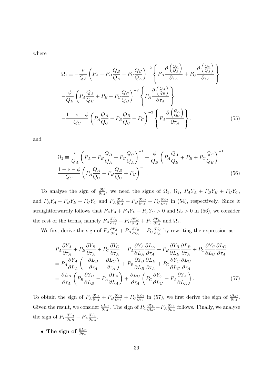where

$$
\Omega_{1} \equiv -\frac{\nu}{Q_{A}} \left( P_{A} + P_{B} \frac{Q_{B}}{Q_{A}} + P_{C} \frac{Q_{C}}{Q_{A}} \right)^{-2} \left\{ P_{B} \frac{\partial \left( \frac{Q_{B}}{Q_{A}} \right)}{\partial \tau_{A}} + P_{C} \frac{\partial \left( \frac{Q_{C}}{Q_{A}} \right)}{\partial \tau_{A}} \right\}
$$

$$
-\frac{\phi}{Q_{B}} \left( P_{A} \frac{Q_{A}}{Q_{B}} + P_{B} + P_{C} \frac{Q_{C}}{Q_{B}} \right)^{-2} \left\{ P_{A} \frac{\partial \left( \frac{Q_{A}}{Q_{B}} \right)}{\partial \tau_{A}} \right\}
$$

$$
-\frac{1 - \nu - \phi}{Q_{C}} \left( P_{A} \frac{Q_{A}}{Q_{C}} + P_{B} \frac{Q_{B}}{Q_{C}} + P_{C} \right)^{-2} \left\{ P_{A} \frac{\partial \left( \frac{Q_{A}}{Q_{C}} \right)}{\partial \tau_{A}} \right\}, \tag{55}
$$

and

$$
\Omega_2 \equiv \frac{\nu}{Q_A} \left( P_A + P_B \frac{Q_B}{Q_A} + P_C \frac{Q_C}{Q_A} \right)^{-1} + \frac{\phi}{Q_B} \left( P_A \frac{Q_A}{Q_B} + P_B + P_C \frac{Q_C}{Q_B} \right)^{-1}
$$
  

$$
\frac{1 - \nu - \phi}{Q_C} \left( P_A \frac{Q_A}{Q_C} + P_B \frac{Q_B}{Q_C} + P_C \right)^{-1}.
$$
 (56)

To analyse the sign of  $\frac{\partial U}{\partial \tau_A}$ , we need the signs of  $\Omega_1$ ,  $\Omega_2$ ,  $P_A Y_A + P_B Y_B + P_C Y_C$ , and  $P_A Y_A + P_B Y_B + P_C Y_C$  and  $P_A \frac{\partial Y_A}{\partial \tau_A}$  $\frac{\partial Y_A}{\partial \tau_A} + P_B \frac{\partial Y_B}{\partial \tau_A}$  $\frac{\partial Y_B}{\partial \tau_A} + P_C \frac{\partial Y_C}{\partial \tau_A}$  $\frac{\partial Y_C}{\partial \tau_A}$  in (54), respectively. Since it straightforwardly follows that  $P_A Y_A + P_B Y_B + P_C Y_C > 0$  and  $\Omega_2 > 0$  in (56), we consider the rest of the terms, namely  $P_A \frac{\partial Y_A}{\partial \tau_A}$  $\frac{\partial Y_A}{\partial \tau_A} + P_B \frac{\partial Y_B}{\partial \tau_A}$  $\frac{\partial Y_B}{\partial \tau_A} + P_C \frac{\partial Y_C}{\partial \tau_A}$  $\frac{\partial Y_C}{\partial \tau_A}$  and  $\Omega_1$ .

We first derive the sign of  $P_A \frac{\partial Y_A}{\partial \tau_A}$  $\frac{\partial Y_A}{\partial \tau_A} + P_B \frac{\partial Y_B}{\partial \tau_A}$  $\frac{\partial Y_B}{\partial \tau_A} + P_C \frac{\partial Y_C}{\partial \tau_A}$  $\frac{\partial Y_C}{\partial \tau_A}$  by rewriting the expression as:

$$
P_{A}\frac{\partial Y_{A}}{\partial \tau_{A}} + P_{B}\frac{\partial Y_{B}}{\partial \tau_{A}} + P_{C}\frac{\partial Y_{C}}{\partial \tau_{A}} = P_{A}\frac{\partial Y_{A}}{\partial L_{A}}\frac{\partial L_{A}}{\partial \tau_{A}} + P_{B}\frac{\partial Y_{B}}{\partial L_{B}}\frac{\partial L_{B}}{\partial \tau_{A}} + P_{C}\frac{\partial Y_{C}}{\partial L_{C}}\frac{\partial L_{C}}{\partial \tau_{A}}
$$
  
=  $P_{A}\frac{\partial Y_{A}}{\partial L_{A}}\left(-\frac{\partial L_{B}}{\partial \tau_{A}} - \frac{\partial L_{C}}{\partial \tau_{A}}\right) + P_{B}\frac{\partial Y_{B}}{\partial L_{B}}\frac{\partial L_{B}}{\partial \tau_{A}} + P_{C}\frac{\partial Y_{C}}{\partial L_{C}}\frac{\partial L_{C}}{\partial \tau_{A}}$   
=  $\frac{\partial L_{B}}{\partial \tau_{A}}\left(P_{B}\frac{\partial Y_{B}}{\partial L_{B}} - P_{A}\frac{\partial Y_{A}}{\partial L_{A}}\right) + \frac{\partial L_{C}}{\partial \tau_{A}}\left(P_{C}\frac{\partial Y_{C}}{\partial L_{C}} - P_{A}\frac{\partial Y_{A}}{\partial L_{A}}\right).$  (57)

To obtain the sign of  $P_A \frac{\partial Y_A}{\partial \tau_A}$  $\frac{\partial Y_A}{\partial \tau_A} + P_B \frac{\partial Y_B}{\partial \tau_A}$  $\frac{\partial Y_B}{\partial \tau_A} + P_C \frac{\partial Y_C}{\partial \tau_A}$  $\frac{\partial Y_C}{\partial \tau_A}$  in (57), we first derive the sign of  $\frac{\partial L_C}{\partial \tau_A}$ . Given the result, we consider  $\frac{\partial L_B}{\partial \tau_A}$ . The sign of  $P_C \frac{\partial Y_C}{\partial L_C}$  $\frac{\partial Y_C}{\partial L_C} - P_A \frac{\partial Y_A}{\partial L_A}$  $\frac{\partial Y_A}{\partial L_A}$  follows. Finally, we analyse the sign of  $P_B \frac{\partial Y_B}{\partial L_B}$  $\frac{\partial Y_B}{\partial L_B} - P_A \frac{\partial Y_A}{\partial L_A}$  $\frac{\partial Y_A}{\partial L_A}$ .

*•* The sign of  $\frac{\partial L_C}{\partial \tau_A}$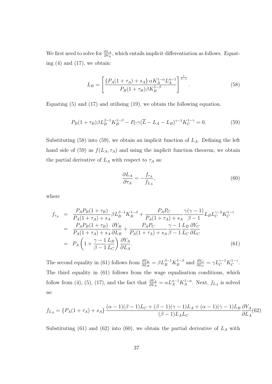We first need to solve for  $\frac{\partial L_A}{\partial \tau_A}$ , which entails implicit differentiation as follows. Equating  $(4)$  and  $(17)$ , we obtain:

$$
L_B = \left[ \frac{\{P_A(1+\tau_A) + s_A\} \alpha K_A^{1-\alpha} L_A^{\alpha-1}}{P_B(1+\tau_B) \beta K_B^{1-\beta}} \right]^{\frac{1}{\beta-1}}.
$$
 (58)

Equating (5) and (17) and utilising (19), we obtain the following equation.

$$
P_B(1+\tau_B)\beta L_B^{\beta-1}K_B^{1-\beta} - P_C\gamma(\overline{L} - L_A - L_B)^{\gamma-1}K_C^{1-\gamma} = 0.
$$
 (59)

Substituting (58) into (59), we obtain an implicit function of *LA*. Defining the left hand side of (59) as  $f(L_A, \tau_A)$  and using the implicit function theorem, we obtain the partial derivative of  $L_A$  with respect to  $\tau_A$  as:

$$
\frac{\partial L_A}{\partial \tau_A} = -\frac{f_{\tau_A}}{f_{L_A}},\tag{60}
$$

where

$$
f_{\tau_A} = \frac{P_A P_B (1 + \tau_B)}{P_A (1 + \tau_A) + s_A} \beta L_B^{\beta - 1} K_B^{1 - \beta} + \frac{P_A P_C}{P_A (1 + \tau_A) + s_A} \frac{\gamma (\gamma - 1)}{\beta - 1} L_B L_C^{\gamma - 2} K_C^{1 - \gamma}
$$
  
= 
$$
\frac{P_A P_B (1 + \tau_B)}{P_A (1 + \tau_A) + s_A} \frac{\partial Y_B}{\partial L_B} + \frac{P_A P_C}{P_A (1 + \tau_A) + s_A} \frac{\gamma - 1}{\beta - 1} \frac{L_B}{L_C} \frac{\partial Y_C}{\partial L_C}
$$
  
= 
$$
P_A \left( 1 + \frac{\gamma - 1}{\beta - 1} \frac{L_B}{L_C} \right) \frac{\partial Y_A}{\partial L_A}.
$$
 (61)

The second equality in (61) follows from  $\frac{\partial Y_B}{\partial L_B} = \beta L_B^{\beta - 1} K_B^{1 - \beta}$  $\frac{dV_C}{dL} = \gamma L_C^{\gamma - 1} K_C^{1 - \gamma}$  $\overset{\cdot 1-\gamma}{C}$ . The third equality in (61) follows from the wage equalisation conditions, which follow from (4), (5), (17), and the fact that  $\frac{\partial Y_A}{\partial L_A} = \alpha L_A^{\alpha-1} K_A^{1-\alpha}$ . Next,  $f_{L_A}$  is solved as:

$$
f_{L_A} = \{ P_A(1+\tau_A) + s_A \} \frac{(\alpha - 1)(\beta - 1)L_C + (\beta - 1)(\gamma - 1)L_A + (\alpha - 1)(\gamma - 1)L_B}{(\beta - 1)L_A L_C} \frac{\partial Y_A}{\partial L_A}(62)
$$

Substituting (61) and (62) into (60), we obtain the partial derivative of *L<sup>A</sup>* with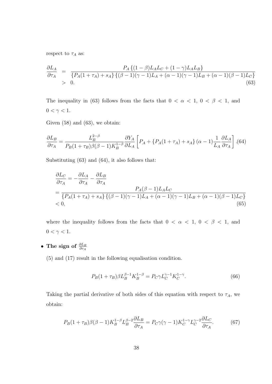respect to  $\tau_A$  as:

$$
\frac{\partial L_A}{\partial \tau_A} = \frac{P_A \{ (1 - \beta) L_A L_C + (1 - \gamma) L_A L_B \}}{\{ P_A (1 + \tau_A) + s_A \} \{ (\beta - 1)(\gamma - 1) L_A + (\alpha - 1)(\gamma - 1) L_B + (\alpha - 1)(\beta - 1) L_C \}}
$$
\n
$$
> 0. \tag{63}
$$

The inequality in (63) follows from the facts that  $0 < \alpha < 1, 0 < \beta < 1$ , and  $0 < \gamma < 1$ .

Given  $(58)$  and  $(63)$ , we obtain:

$$
\frac{\partial L_B}{\partial \tau_A} = \frac{L_B^{2-\beta}}{P_B(1+\tau_B)\beta(\beta-1)K_B^{1-\beta}} \frac{\partial Y_A}{\partial L_A} \left[ P_A + \left\{ P_A(1+\tau_A) + s_A \right\} (\alpha-1) \frac{1}{L_A} \frac{\partial L_A}{\partial \tau_A} \right].(64)
$$

Substituting (63) and (64), it also follows that:

$$
\frac{\partial L_C}{\partial \tau_A} = -\frac{\partial L_A}{\partial \tau_A} - \frac{\partial L_B}{\partial \tau_A}
$$
\n
$$
= \frac{P_A(\beta - 1)L_A L_C}{\{P_A(1 + \tau_A) + s_A\} \{(\beta - 1)(\gamma - 1)L_A + (\alpha - 1)(\gamma - 1)L_B + (\alpha - 1)(\beta - 1)L_C\}}
$$
\n
$$
< 0,
$$
\n(65)

where the inequality follows from the facts that  $0 < \alpha < 1$ ,  $0 < \beta < 1$ , and  $0<\gamma<1.$ 

*•* **The sign of** *∂L<sup>B</sup> ∂τ<sup>A</sup>*

(5) and (17) result in the following equalisation condition.

$$
P_B(1+\tau_B)\beta L_B^{\beta-1}K_B^{1-\beta} = P_C\gamma L_C^{\gamma-1}K_C^{1-\gamma}.
$$
\n(66)

Taking the partial derivative of both sides of this equation with respect to  $\tau_A$ , we obtain:

$$
P_B(1+\tau_B)\beta(\beta-1)K_B^{1-\beta}L_B^{\beta-2}\frac{\partial L_B}{\partial \tau_A} = P_C\gamma(\gamma-1)K_C^{1-\gamma}L_C^{\gamma-2}\frac{\partial L_C}{\partial \tau_A}.
$$
 (67)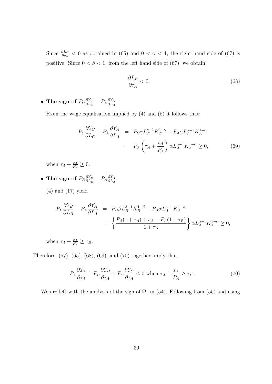Since  $\frac{\partial L_C}{\partial \tau_A}$  < 0 as obtained in (65) and  $0 < \gamma < 1$ , the right hand side of (67) is positive. Since  $0 < \beta < 1$ , from the left hand side of (67), we obtain:

$$
\frac{\partial L_B}{\partial \tau_A} < 0. \tag{68}
$$

• The sign of  $P_C \frac{\partial Y_C}{\partial I_C}$  $\frac{\partial Y_C}{\partial L_C} - P_A \frac{\partial Y_A}{\partial L_A}$ *∂L<sup>A</sup>*

From the wage equalisation implied by (4) and (5) it follows that:

$$
P_C \frac{\partial Y_C}{\partial L_C} - P_A \frac{\partial Y_A}{\partial L_A} = P_C \gamma L_C^{\gamma - 1} K_C^{1 - \gamma} - P_A \alpha L_A^{\alpha - 1} K_A^{1 - \alpha}
$$

$$
= P_A \left( \tau_A + \frac{s_A}{P_A} \right) \alpha L_A^{\alpha - 1} K_A^{1 - \alpha} \ge 0,
$$
(69)

when  $\tau_A + \frac{s_A}{P_A}$  $\frac{s_A}{P_A} \geq 0.$ 

• The sign of  $P_B \frac{\partial Y_B}{\partial I_B}$  $\frac{\partial Y_B}{\partial L_B} - P_A \frac{\partial Y_A}{\partial L_A}$ *∂L<sup>A</sup>*

(4) and (17) yield

$$
P_B \frac{\partial Y_B}{\partial L_B} - P_A \frac{\partial Y_A}{\partial L_A} = P_B \beta L_B^{\beta - 1} K_B^{1 - \beta} - P_A \alpha L_A^{\alpha - 1} K_A^{1 - \alpha}
$$
  
= 
$$
\left\{ \frac{P_A (1 + \tau_A) + s_A - P_A (1 + \tau_B)}{1 + \tau_B} \right\} \alpha L_A^{\alpha - 1} K_A^{1 - \alpha} \ge 0,
$$

when  $\tau_A + \frac{s_A}{P_A}$  $\frac{s_A}{P_A} \geq \tau_B$ .

Therefore, (57), (65), (68), (69), and (70) together imply that:

$$
P_A \frac{\partial Y_A}{\partial \tau_A} + P_B \frac{\partial Y_B}{\partial \tau_A} + P_C \frac{\partial Y_C}{\partial \tau_A} \le 0 \text{ when } \tau_A + \frac{s_A}{P_A} \ge \tau_B. \tag{70}
$$

We are left with the analysis of the sign of  $\Omega_1$  in (54). Following from (55) and using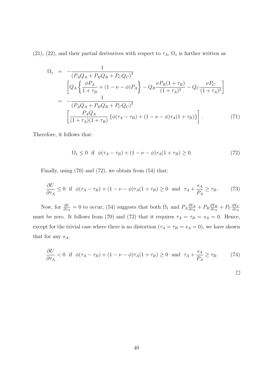(21), (22), and their partial derivatives with respect to  $\tau_A$ ,  $\Omega_1$  is further written as

$$
\Omega_{1} = -\frac{1}{(P_{A}Q_{A} + P_{B}Q_{B} + P_{C}Q_{C})^{2}} \left[ Q_{A} \left\{ \frac{\phi P_{A}}{1 + \tau_{B}} + (1 - \nu - \phi)P_{A} \right\} - Q_{B} \frac{\nu P_{B}(1 + \tau_{B})}{(1 + \tau_{A})^{2}} - Q_{C} \frac{\nu P_{C}}{(1 + \tau_{A})^{2}} \right]
$$

$$
= -\frac{1}{(P_{A}Q_{A} + P_{B}Q_{B} + P_{C}Q_{C})^{2}} \left[ \frac{P_{A}Q_{A}}{(1 + \tau_{A})(1 + \tau_{B})} \left\{ \phi(\tau_{A} - \tau_{B}) + (1 - \nu - \phi)\tau_{A}(1 + \tau_{B}) \right\} \right]. \tag{71}
$$

Therefore, it follows that:

$$
\Omega_1 \le 0 \quad \text{if} \quad \phi(\tau_A - \tau_B) + (1 - \nu - \phi)\tau_A(1 + \tau_B) \ge 0. \tag{72}
$$

Finally, using (70) and (72), we obtain from (54) that:

$$
\frac{\partial U}{\partial \tau_A} \le 0 \quad \text{if} \quad \phi(\tau_A - \tau_B) + (1 - \nu - \phi)\tau_A(1 + \tau_B) \ge 0 \quad \text{and} \quad \tau_A + \frac{s_A}{P_A} \ge \tau_B. \tag{73}
$$

Now, for  $\frac{\partial U}{\partial \tau_A} = 0$  to occur, (54) suggests that both  $\Omega_1$  and  $P_A \frac{\partial Y_A}{\partial \tau_A}$  $\frac{\partial Y_A}{\partial \tau_A} + P_B \frac{\partial Y_B}{\partial \tau_A}$  $\frac{\partial Y_B}{\partial \tau_A} + P_C \frac{\partial Y_C}{\partial \tau_A}$ *∂τ<sup>A</sup>* must be zero. It follows from (70) and (72) that it requires  $\tau_A = \tau_B = s_A = 0$ . Hence, except for the trivial case where there is no distortion ( $\tau_A = \tau_B = s_A = 0$ ), we have shown that for any *sA*,

$$
\frac{\partial U}{\partial \tau_A} < 0 \quad \text{if} \quad \phi(\tau_A - \tau_B) + (1 - \nu - \phi)\tau_A(1 + \tau_B) \ge 0 \quad \text{and} \quad \tau_A + \frac{s_A}{P_A} \ge \tau_B. \tag{74}
$$

$$
\Box
$$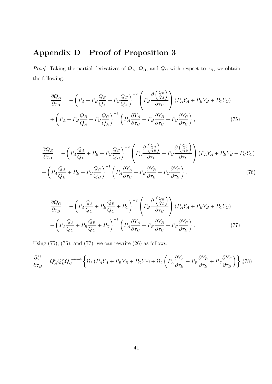## **Appendix D Proof of Proposition 3**

*Proof.* Taking the partial derivatives of  $Q_A$ ,  $Q_B$ , and  $Q_C$  with respect to  $\tau_B$ , we obtain the following.

$$
\frac{\partial Q_A}{\partial \tau_B} = -\left(P_A + P_B \frac{Q_B}{Q_A} + P_C \frac{Q_C}{Q_A}\right)^{-2} \left(P_B \frac{\partial \left(\frac{Q_B}{Q_A}\right)}{\partial \tau_B}\right) (P_A Y_A + P_B Y_B + P_C Y_C)
$$
\n
$$
+ \left(P_A + P_B \frac{Q_B}{Q_A} + P_C \frac{Q_C}{Q_A}\right)^{-1} \left(P_A \frac{\partial Y_A}{\partial \tau_B} + P_B \frac{\partial Y_B}{\partial \tau_B} + P_C \frac{\partial Y_C}{\partial \tau_B}\right),\tag{75}
$$

$$
\frac{\partial Q_B}{\partial \tau_B} = -\left(P_A \frac{Q_A}{Q_B} + P_B + P_C \frac{Q_C}{Q_B}\right)^{-2} \left(P_A \frac{\partial \left(\frac{Q_A}{Q_B}\right)}{\partial \tau_B} + P_C \frac{\partial \left(\frac{Q_C}{Q_B}\right)}{\partial \tau_B}\right) (P_A Y_A + P_B Y_B + P_C Y_C)
$$
\n
$$
+ \left(P_A \frac{Q_A}{Q_B} + P_B + P_C \frac{Q_C}{Q_B}\right)^{-1} \left(P_A \frac{\partial Y_A}{\partial \tau_B} + P_B \frac{\partial Y_B}{\partial \tau_B} + P_C \frac{\partial Y_C}{\partial \tau_B}\right),\tag{76}
$$

$$
\frac{\partial Q_C}{\partial \tau_B} = -\left(P_A \frac{Q_A}{Q_C} + P_B \frac{Q_B}{Q_C} + P_C\right)^{-2} \left(P_B \frac{\partial \left(\frac{Q_B}{Q_C}\right)}{\partial \tau_B}\right) (P_A Y_A + P_B Y_B + P_C Y_C) \n+ \left(P_A \frac{Q_A}{Q_C} + P_B \frac{Q_B}{Q_C} + P_C\right)^{-1} \left(P_A \frac{\partial Y_A}{\partial \tau_B} + P_B \frac{\partial Y_B}{\partial \tau_B} + P_C \frac{\partial Y_C}{\partial \tau_B}\right).
$$
\n(77)

Using  $(75)$ ,  $(76)$ , and  $(77)$ , we can rewrite  $(26)$  as follows.

$$
\frac{\partial U}{\partial \tau_B} = Q_A^{\nu} Q_B^{\phi} Q_C^{1-\nu-\phi} \left\{ \Omega_3 \left( P_A Y_A + P_B Y_B + P_C Y_C \right) + \Omega_2 \left( P_A \frac{\partial Y_A}{\partial \tau_B} + P_B \frac{\partial Y_B}{\partial \tau_B} + P_C \frac{\partial Y_C}{\partial \tau_B} \right) \right\}, (78)
$$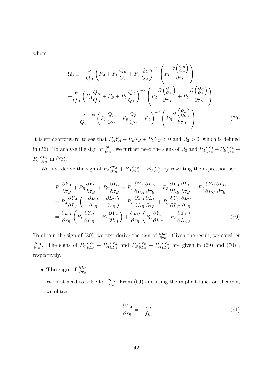where

$$
\Omega_{3} \equiv -\frac{\nu}{Q_{A}} \left( P_{A} + P_{B} \frac{Q_{B}}{Q_{A}} + P_{C} \frac{Q_{C}}{Q_{A}} \right)^{-2} \left( P_{B} \frac{\partial \left( \frac{Q_{B}}{Q_{A}} \right)}{\partial \tau_{B}} \right)
$$

$$
-\frac{\phi}{Q_{B}} \left( P_{A} \frac{Q_{A}}{Q_{B}} + P_{B} + P_{C} \frac{Q_{C}}{Q_{B}} \right)^{-2} \left( P_{A} \frac{\partial \left( \frac{Q_{A}}{Q_{B}} \right)}{\partial \tau_{B}} + P_{C} \frac{\partial \left( \frac{Q_{C}}{Q_{B}} \right)}{\partial \tau_{B}} \right)
$$

$$
-\frac{1 - \nu - \phi}{Q_{C}} \left( P_{A} \frac{Q_{A}}{Q_{C}} + P_{B} \frac{Q_{B}}{Q_{C}} + P_{C} \right)^{-2} \left( P_{B} \frac{\partial \left( \frac{Q_{B}}{Q_{C}} \right)}{\partial \tau_{B}} \right). \tag{79}
$$

It is straightforward to see that  $P_A Y_A + P_B Y_B + P_C Y_C > 0$  and  $\Omega_2 > 0$ , which is defined in (56). To analyse the sign of  $\frac{\partial U}{\partial \tau_B}$ , we further need the signs of  $\Omega_3$  and  $P_A \frac{\partial Y_A}{\partial \tau_B}$  $\frac{\partial Y_A}{\partial \tau_B} + P_B \frac{\partial Y_B}{\partial \tau_B}$  $\frac{\partial Y_B}{\partial \tau_B} +$ *P<sub>C</sub>* $\frac{\partial Y_C}{\partial \tau_P}$  $\frac{\partial Y_C}{\partial \tau_B}$  in (78).

We first derive the sign of  $P_A \frac{\partial Y_A}{\partial \tau_P}$  $\frac{\partial Y_A}{\partial \tau_B} + P_B \frac{\partial Y_B}{\partial \tau_B}$  $\frac{\partial Y_B}{\partial \tau_B} + P_C \frac{\partial Y_C}{\partial \tau_B}$  $\frac{\partial Y_C}{\partial \tau_B}$  by rewriting the expression as:

$$
P_{A}\frac{\partial Y_{A}}{\partial \tau_{B}} + P_{B}\frac{\partial Y_{B}}{\partial \tau_{B}} + P_{C}\frac{\partial Y_{C}}{\partial \tau_{B}} = P_{A}\frac{\partial Y_{A}}{\partial L_{A}}\frac{\partial L_{A}}{\partial \tau_{B}} + P_{B}\frac{\partial Y_{B}}{\partial L_{B}}\frac{\partial L_{B}}{\partial \tau_{B}} + P_{C}\frac{\partial Y_{C}}{\partial L_{C}}\frac{\partial L_{C}}{\partial \tau_{B}}
$$
  
=  $P_{A}\frac{\partial Y_{A}}{\partial L_{A}}\left(-\frac{\partial L_{B}}{\partial \tau_{B}} - \frac{\partial L_{C}}{\partial \tau_{B}}\right) + P_{B}\frac{\partial Y_{B}}{\partial L_{B}}\frac{\partial L_{B}}{\partial \tau_{B}} + P_{C}\frac{\partial Y_{C}}{\partial L_{C}}\frac{\partial L_{C}}{\partial \tau_{B}}$   
=  $\frac{\partial L_{B}}{\partial \tau_{B}}\left(P_{B}\frac{\partial Y_{B}}{\partial L_{B}} - P_{A}\frac{\partial Y_{A}}{\partial L_{A}}\right) + \frac{\partial L_{C}}{\partial \tau_{B}}\left(P_{C}\frac{\partial Y_{C}}{\partial L_{C}} - P_{A}\frac{\partial Y_{A}}{\partial L_{A}}\right)$ (80)

To obtain the sign of (80), we first derive the sign of  $\frac{\partial L_C}{\partial \tau_B}$ . Given the result, we consider *∂L<sup>B</sup>*  $\frac{\partial L_B}{\partial \tau_B}$ . The signs of  $P_C \frac{\partial Y_C}{\partial L_C}$  $\frac{\partial Y_C}{\partial L_C} - P_A \frac{\partial Y_A}{\partial L_A}$  $\frac{\partial Y_A}{\partial L_A}$  and  $P_B \frac{\partial Y_B}{\partial L_B}$  $\frac{\partial Y_B}{\partial L_B} - P_A \frac{\partial Y_A}{\partial L_A}$  $\frac{\partial Y_A}{\partial L_A}$  are given in (69) and (70), respectively.

*•* The sign of  $\frac{\partial L_C}{\partial \tau_B}$ 

We first need to solve for  $\frac{\partial L_A}{\partial \tau_B}$ . From (59) and using the implicit function theorem, we obtain:

$$
\frac{\partial L_A}{\partial \tau_B} = -\frac{f_{\tau_B}}{f_{L_A}},\tag{81}
$$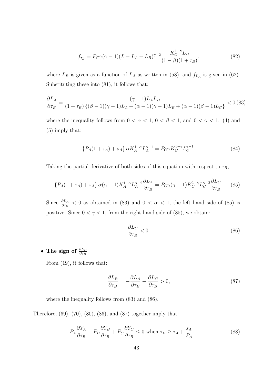$$
f_{\tau_B} = P_C \gamma (\gamma - 1)(\overline{L} - L_A - L_B)^{\gamma - 2} \frac{K_C^{1 - \gamma} L_B}{(1 - \beta)(1 + \tau_B)},
$$
(82)

where  $L_B$  is given as a function of  $L_A$  as written in (58), and  $f_{L_A}$  is given in (62). Substituting these into (81), it follows that:

$$
\frac{\partial L_A}{\partial \tau_B} = \frac{(\gamma - 1)L_A L_B}{(1 + \tau_B) \left\{ (\beta - 1)(\gamma - 1)L_A + (\alpha - 1)(\gamma - 1)L_B + (\alpha - 1)(\beta - 1)L_C \right\}} < 0, (83)
$$

where the inequality follows from  $0 < \alpha < 1$ ,  $0 < \beta < 1$ , and  $0 < \gamma < 1$ . (4) and (5) imply that:

$$
\{P_A(1+\tau_A) + s_A\} \alpha K_A^{1-\alpha} L_A^{\alpha-1} = P_C \gamma K_C^{1-\gamma} L_C^{\gamma-1}.
$$
 (84)

Taking the partial derivative of both sides of this equation with respect to  $\tau_B$ ,

$$
\{P_A(1+\tau_A) + s_A\} \alpha(\alpha-1) K_A^{1-\alpha} L_A^{\alpha-2} \frac{\partial L_A}{\partial \tau_B} = P_C \gamma(\gamma-1) K_C^{1-\gamma} L_C^{\gamma-2} \frac{\partial L_C}{\partial \tau_B}.
$$
 (85)

Since  $\frac{\partial L_A}{\partial \tau_B}$  < 0 as obtained in (83) and 0 <  $\alpha$  < 1, the left hand side of (85) is positive. Since  $0 < \gamma < 1$ , from the right hand side of (85), we obtain:

$$
\frac{\partial L_C}{\partial \tau_B} < 0. \tag{86}
$$

*•* The sign of  $\frac{\partial L_B}{\partial \tau_B}$ 

From (19), it follows that:

$$
\frac{\partial L_B}{\partial \tau_B} = -\frac{\partial L_A}{\partial \tau_B} - \frac{\partial L_C}{\partial \tau_B} > 0,\tag{87}
$$

where the inequality follows from (83) and (86).

Therefore, (69), (70), (80), (86), and (87) together imply that:

$$
P_A \frac{\partial Y_A}{\partial \tau_B} + P_B \frac{\partial Y_B}{\partial \tau_B} + P_C \frac{\partial Y_C}{\partial \tau_B} \le 0 \text{ when } \tau_B \ge \tau_A + \frac{s_A}{P_A}.\tag{88}
$$